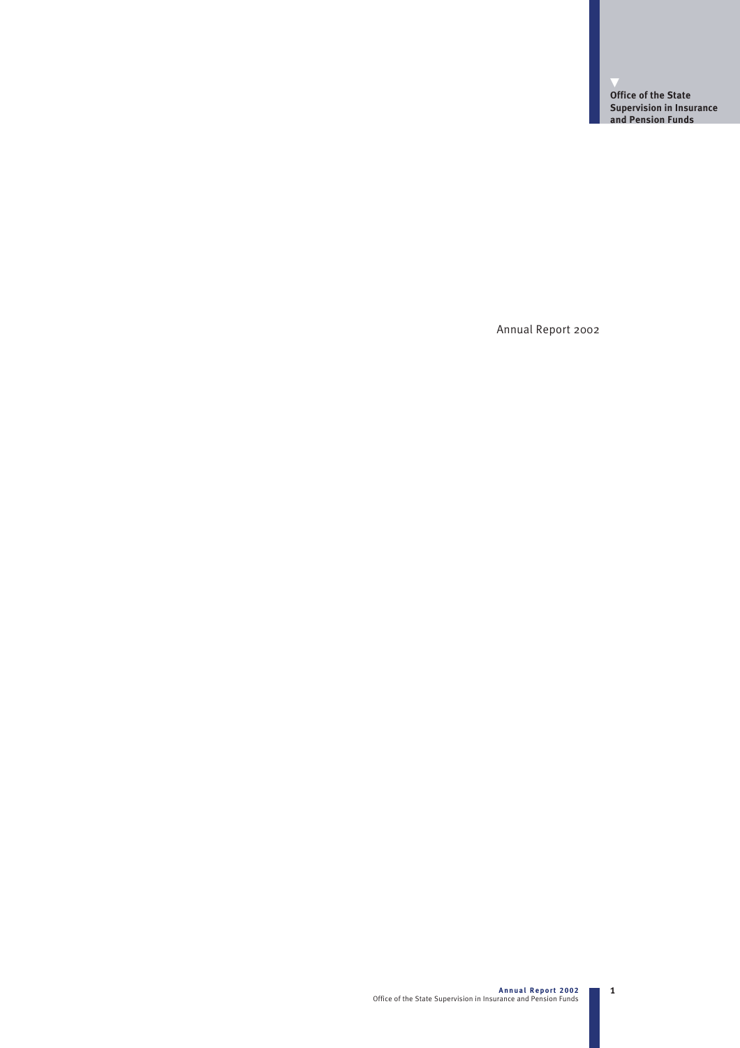▼ **Office of the State Supervision in Insurance and Pension Funds**

Annual Report 2002

1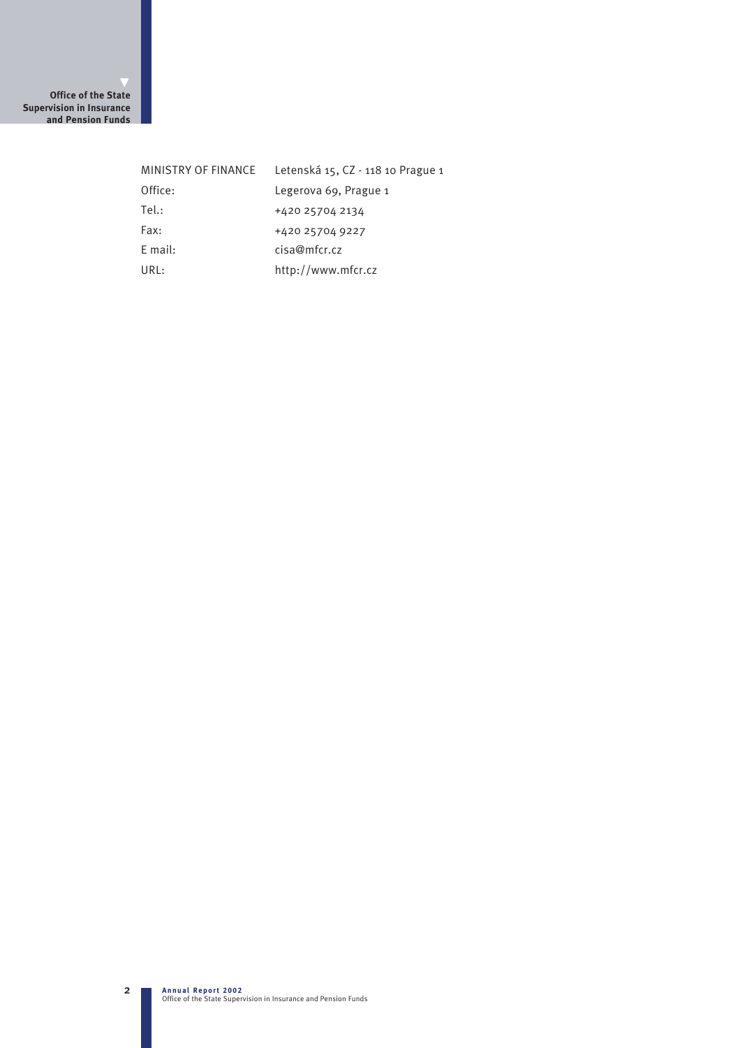▼ **Office of the State Supervision in Insurance and Pension Funds**

| MINISTRY OF FINANCE | Letenská 15, CZ - 118 10 Prague 1 |
|---------------------|-----------------------------------|
| Office:             | Legerova 69, Prague 1             |
| Tel.:               | +420 25704 2134                   |
| Fax:                | +420 25704 9227                   |
| $E$ mail:           | cisa@mfcr.cz                      |
| IIRI:               | http://www.mfcr.cz                |

2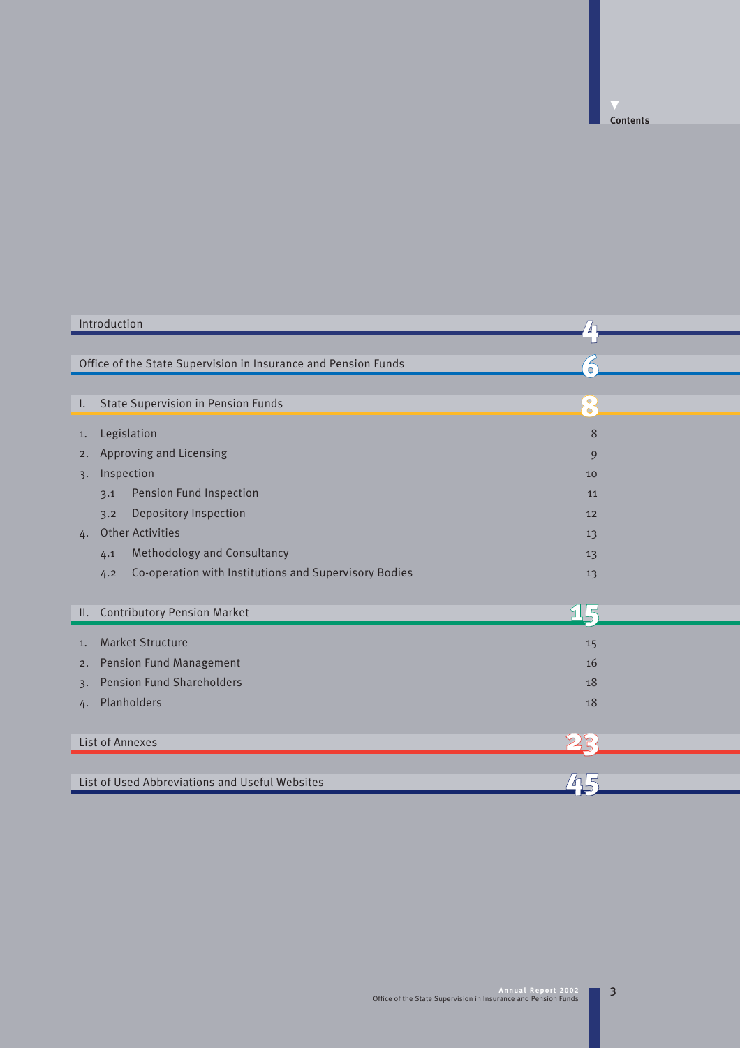**Contents**

| Introduction                                                   |                        |  |
|----------------------------------------------------------------|------------------------|--|
|                                                                |                        |  |
| Office of the State Supervision in Insurance and Pension Funds | $\bullet$              |  |
|                                                                |                        |  |
| <b>State Supervision in Pension Funds</b><br>Ι.                | $\bullet$<br>$\bullet$ |  |
| Legislation<br>1.                                              | 8                      |  |
| Approving and Licensing<br>2.                                  | 9                      |  |
| Inspection<br>3.                                               | 10                     |  |
| Pension Fund Inspection<br>3.1                                 | 11                     |  |
| Depository Inspection<br>3.2                                   | 12                     |  |
| <b>Other Activities</b><br>4.                                  | 13                     |  |
| Methodology and Consultancy<br>4.1                             | 13                     |  |
| Co-operation with Institutions and Supervisory Bodies<br>4.2   | 13                     |  |
|                                                                |                        |  |
| <b>Contributory Pension Market</b><br>II.                      | 915                    |  |
| <b>Market Structure</b><br>1.                                  | 15                     |  |
| <b>Pension Fund Management</b><br>2.                           | 16                     |  |
| <b>Pension Fund Shareholders</b>                               | 18                     |  |
| $\overline{3}$ .                                               |                        |  |
| Planholders<br>4.                                              | 18                     |  |
|                                                                |                        |  |
| List of Annexes                                                | 25                     |  |
|                                                                |                        |  |
| List of Used Abbreviations and Useful Websites                 |                        |  |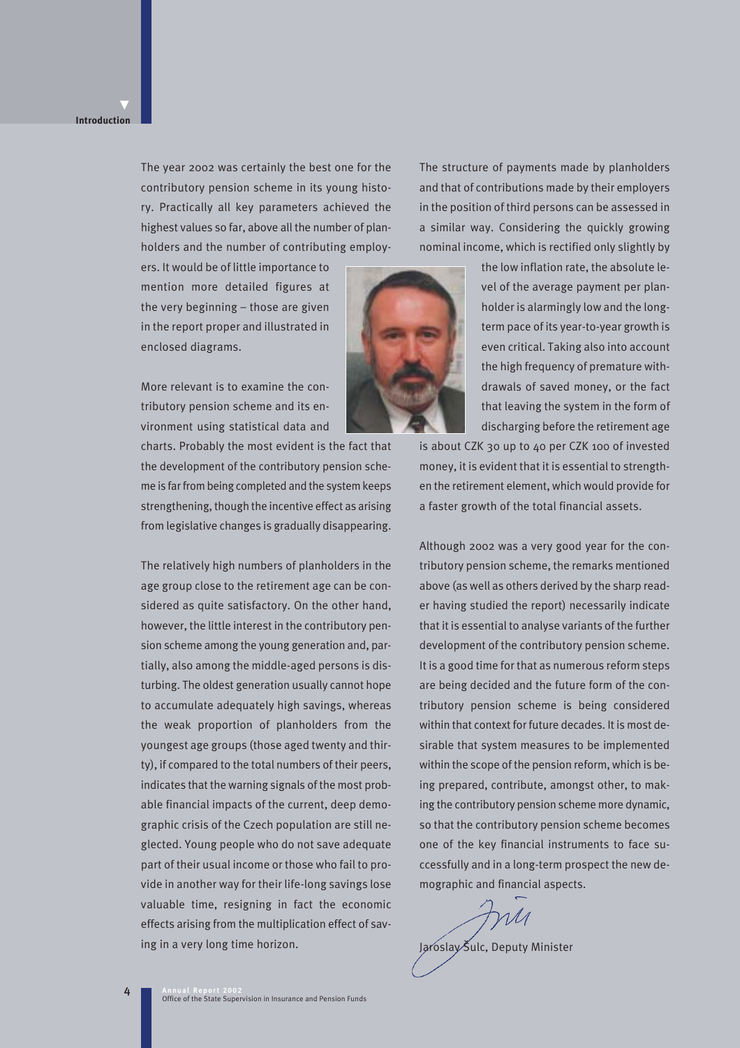### **Introduction**

▼

The year 2002 was certainly the best one for the contributory pension scheme in its young history. Practically all key parameters achieved the highest values so far, above all the number of planholders and the number of contributing employThe structure of payments made by planholders and that of contributions made by their employers in the position of third persons can be assessed in a similar way. Considering the quickly growing nominal income, which is rectified only slightly by

ers. It would be of little importance to mention more detailed figures at the very beginning – those are given in the report proper and illustrated in enclosed diagrams.

More relevant is to examine the contributory pension scheme and its environment using statistical data and

charts. Probably the most evident is the fact that the development of the contributory pension scheme is far from being completed and the system keeps strengthening, though the incentive effect as arising from legislative changes is gradually disappearing.

The relatively high numbers of planholders in the age group close to the retirement age can be considered as quite satisfactory. On the other hand, however, the little interest in the contributory pension scheme among the young generation and, partially, also among the middle-aged persons is disturbing. The oldest generation usually cannot hope to accumulate adequately high savings, whereas the weak proportion of planholders from the youngest age groups (those aged twenty and thirty), if compared to the total numbers of their peers, indicates that the warning signals of the most probable financial impacts of the current, deep demographic crisis of the Czech population are still neglected. Young people who do not save adequate part of their usual income or those who fail to provide in another way for their life-long savings lose valuable time, resigning in fact the economic effects arising from the multiplication effect of saving in a very long time horizon.



the low inflation rate, the absolute level of the average payment per planholder is alarmingly low and the longterm pace of its year-to-year growth is even critical. Taking also into account the high frequency of premature withdrawals of saved money, or the fact that leaving the system in the form of discharging before the retirement age

is about CZK 30 up to 40 per CZK 100 of invested money, it is evident that it is essential to strengthen the retirement element, which would provide for a faster growth of the total financial assets.

Although 2002 was a very good year for the contributory pension scheme, the remarks mentioned above (as well as others derived by the sharp reader having studied the report) necessarily indicate that it is essential to analyse variants of the further development of the contributory pension scheme. It is a good time for that as numerous reform steps are being decided and the future form of the contributory pension scheme is being considered within that context for future decades. It is most desirable that system measures to be implemented within the scope of the pension reform, which is being prepared, contribute, amongst other, to making the contributory pension scheme more dynamic, so that the contributory pension scheme becomes one of the key financial instruments to face successfully and in a long-term prospect the new demographic and financial aspects.

Jaroslay Šulc, Deputy Minister

4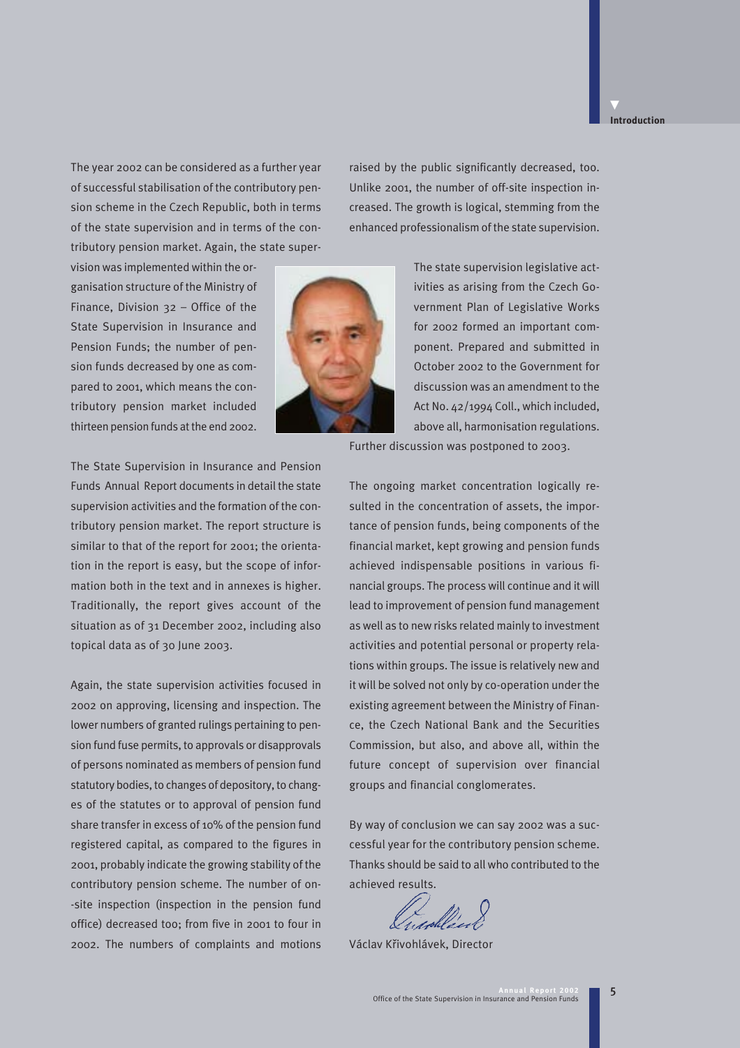#### **Introduction**

▼

The year 2002 can be considered as a further year of successful stabilisation of the contributory pension scheme in the Czech Republic, both in terms of the state supervision and in terms of the contributory pension market. Again, the state super-

vision was implemented within the organisation structure of the Ministry of Finance, Division 32 – Office of the State Supervision in Insurance and Pension Funds; the number of pension funds decreased by one as compared to 2001, which means the contributory pension market included thirteen pension funds at the end 2002.



raised by the public significantly decreased, too. Unlike 2001, the number of off-site inspection increased. The growth is logical, stemming from the enhanced professionalism of the state supervision.

> The state supervision legislative activities as arising from the Czech Government Plan of Legislative Works for 2002 formed an important component. Prepared and submitted in October 2002 to the Government for discussion was an amendment to the Act No. 42/1994 Coll., which included, above all, harmonisation regulations.

Further discussion was postponed to 2003.

The State Supervision in Insurance and Pension Funds Annual Report documents in detail the state supervision activities and the formation of the contributory pension market. The report structure is similar to that of the report for 2001; the orientation in the report is easy, but the scope of information both in the text and in annexes is higher. Traditionally, the report gives account of the situation as of 31 December 2002, including also topical data as of 30 June 2003.

Again, the state supervision activities focused in 2002 on approving, licensing and inspection. The lower numbers of granted rulings pertaining to pension fund fuse permits, to approvals or disapprovals of persons nominated as members of pension fund statutory bodies, to changes of depository, to changes of the statutes or to approval of pension fund share transfer in excess of 10% of the pension fund registered capital, as compared to the figures in 2001, probably indicate the growing stability of the contributory pension scheme. The number of on- -site inspection (inspection in the pension fund office) decreased too; from five in 2001 to four in 2002. The numbers of complaints and motions The ongoing market concentration logically resulted in the concentration of assets, the importance of pension funds, being components of the financial market, kept growing and pension funds achieved indispensable positions in various financial groups. The process will continue and it will lead to improvement of pension fund management as well as to new risks related mainly to investment activities and potential personal or property relations within groups. The issue is relatively new and it will be solved not only by co-operation under the existing agreement between the Ministry of Finance, the Czech National Bank and the Securities Commission, but also, and above all, within the future concept of supervision over financial groups and financial conglomerates.

By way of conclusion we can say 2002 was a successful year for the contributory pension scheme. Thanks should be said to all who contributed to the achieved results.

Václav Kfiivohlávek, Director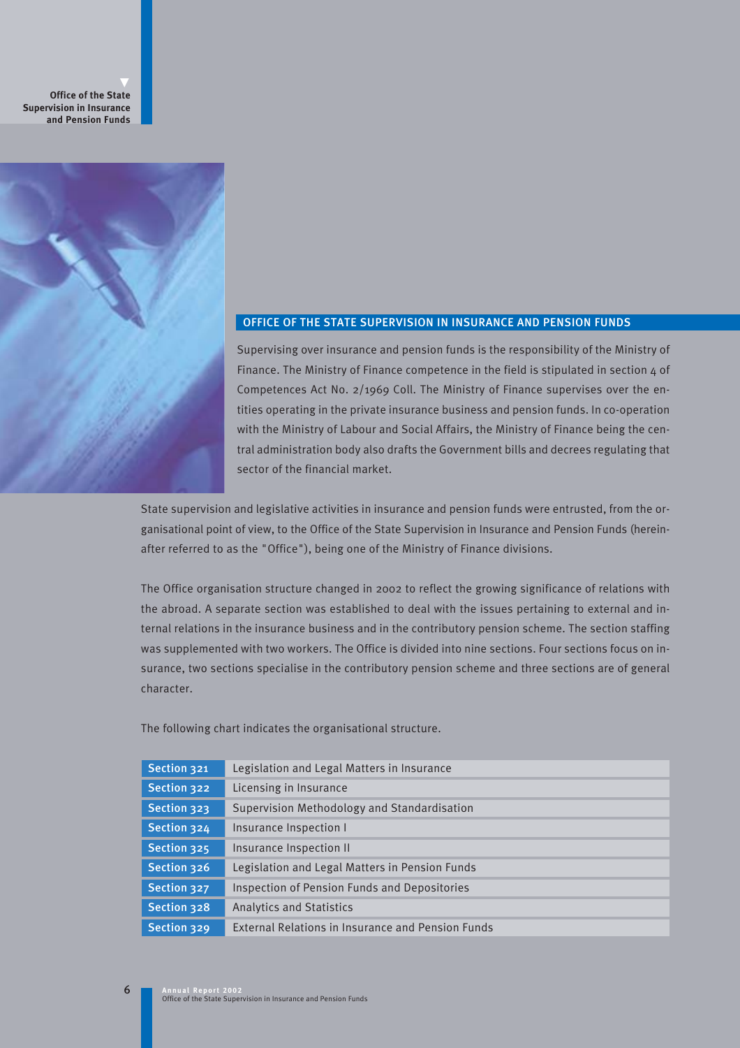▼ **Office of the State Supervision in Insurance and Pension Funds**



# OFFICE OF THE STATE SUPERVISION IN INSURANCE AND PENSION FUNDS

Supervising over insurance and pension funds is the responsibility of the Ministry of Finance. The Ministry of Finance competence in the field is stipulated in section 4 of Competences Act No. 2/1969 Coll. The Ministry of Finance supervises over the entities operating in the private insurance business and pension funds. In co-operation with the Ministry of Labour and Social Affairs, the Ministry of Finance being the central administration body also drafts the Government bills and decrees regulating that sector of the financial market.

State supervision and legislative activities in insurance and pension funds were entrusted, from the organisational point of view, to the Office of the State Supervision in Insurance and Pension Funds (hereinafter referred to as the "Office"), being one of the Ministry of Finance divisions.

The Office organisation structure changed in 2002 to reflect the growing significance of relations with the abroad. A separate section was established to deal with the issues pertaining to external and internal relations in the insurance business and in the contributory pension scheme. The section staffing was supplemented with two workers. The Office is divided into nine sections. Four sections focus on insurance, two sections specialise in the contributory pension scheme and three sections are of general character.

The following chart indicates the organisational structure.

| Section 321 | Legislation and Legal Matters in Insurance               |
|-------------|----------------------------------------------------------|
| Section 322 | Licensing in Insurance                                   |
| Section 323 | Supervision Methodology and Standardisation              |
| Section 324 | Insurance Inspection I                                   |
| Section 325 | Insurance Inspection II                                  |
| Section 326 | Legislation and Legal Matters in Pension Funds           |
| Section 327 | Inspection of Pension Funds and Depositories             |
| Section 328 | <b>Analytics and Statistics</b>                          |
| Section 329 | <b>External Relations in Insurance and Pension Funds</b> |

6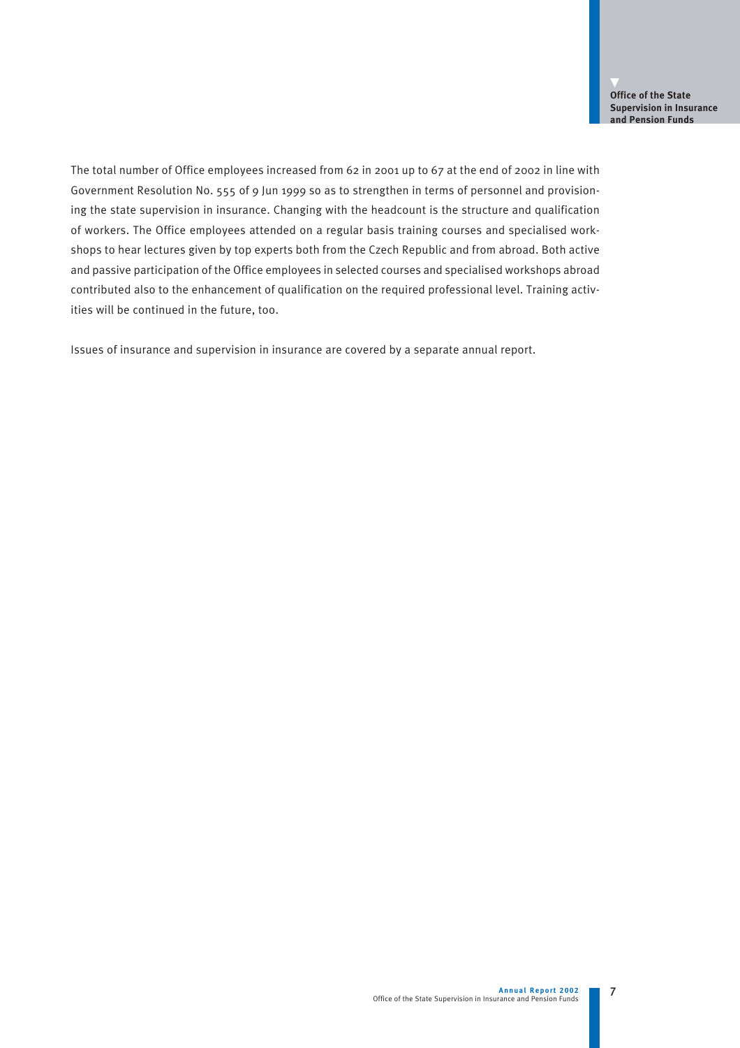The total number of Office employees increased from 62 in 2001 up to 67 at the end of 2002 in line with Government Resolution No. 555 of 9 Jun 1999 so as to strengthen in terms of personnel and provisioning the state supervision in insurance. Changing with the headcount is the structure and qualification of workers. The Office employees attended on a regular basis training courses and specialised workshops to hear lectures given by top experts both from the Czech Republic and from abroad. Both active and passive participation of the Office employees in selected courses and specialised workshops abroad contributed also to the enhancement of qualification on the required professional level. Training activities will be continued in the future, too.

Issues of insurance and supervision in insurance are covered by a separate annual report.

7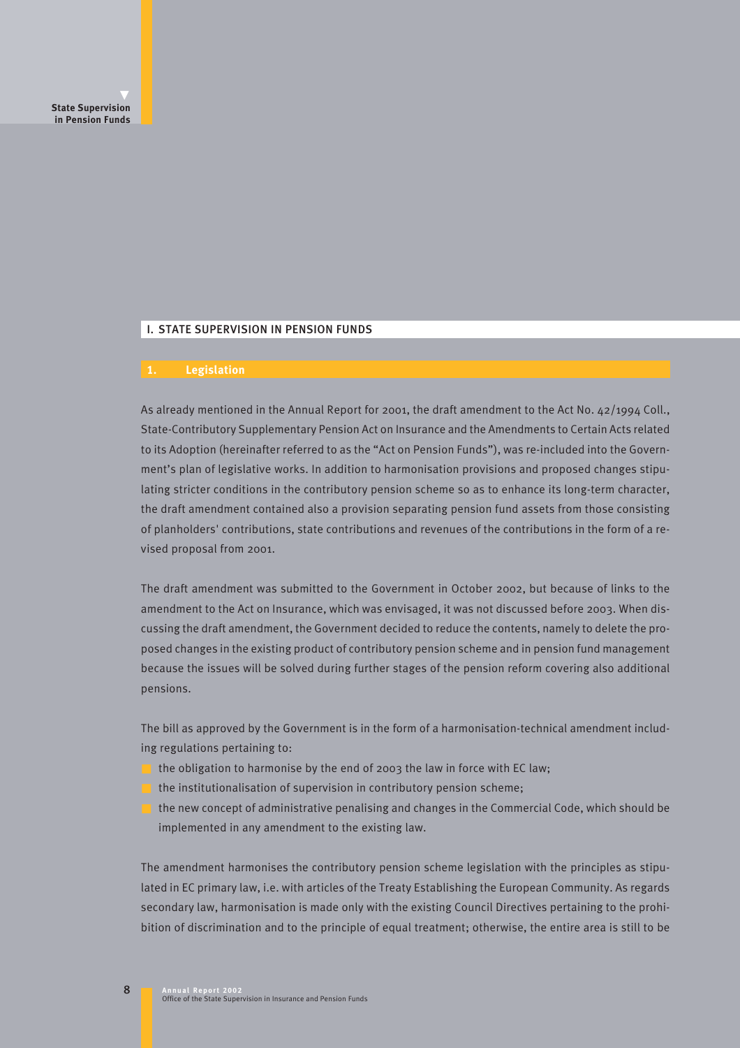### I. STATE SUPERVISION IN PENSION FUNDS

#### **1. Legislation**

As already mentioned in the Annual Report for 2001, the draft amendment to the Act No. 42/1994 Coll., State-Contributory Supplementary Pension Act on Insurance and the Amendments to Certain Acts related to its Adoption (hereinafter referred to as the "Act on Pension Funds"), was re-included into the Government's plan of legislative works. In addition to harmonisation provisions and proposed changes stipulating stricter conditions in the contributory pension scheme so as to enhance its long-term character, the draft amendment contained also a provision separating pension fund assets from those consisting of planholders' contributions, state contributions and revenues of the contributions in the form of a revised proposal from 2001.

The draft amendment was submitted to the Government in October 2002, but because of links to the amendment to the Act on Insurance, which was envisaged, it was not discussed before 2003. When discussing the draft amendment, the Government decided to reduce the contents, namely to delete the proposed changes in the existing product of contributory pension scheme and in pension fund management because the issues will be solved during further stages of the pension reform covering also additional pensions.

The bill as approved by the Government is in the form of a harmonisation-technical amendment including regulations pertaining to:

- the obligation to harmonise by the end of 2003 the law in force with EC law;
- the institutionalisation of supervision in contributory pension scheme;
- the new concept of administrative penalising and changes in the Commercial Code, which should be implemented in any amendment to the existing law.

The amendment harmonises the contributory pension scheme legislation with the principles as stipulated in EC primary law, i.e. with articles of the Treaty Establishing the European Community. As regards secondary law, harmonisation is made only with the existing Council Directives pertaining to the prohibition of discrimination and to the principle of equal treatment; otherwise, the entire area is still to be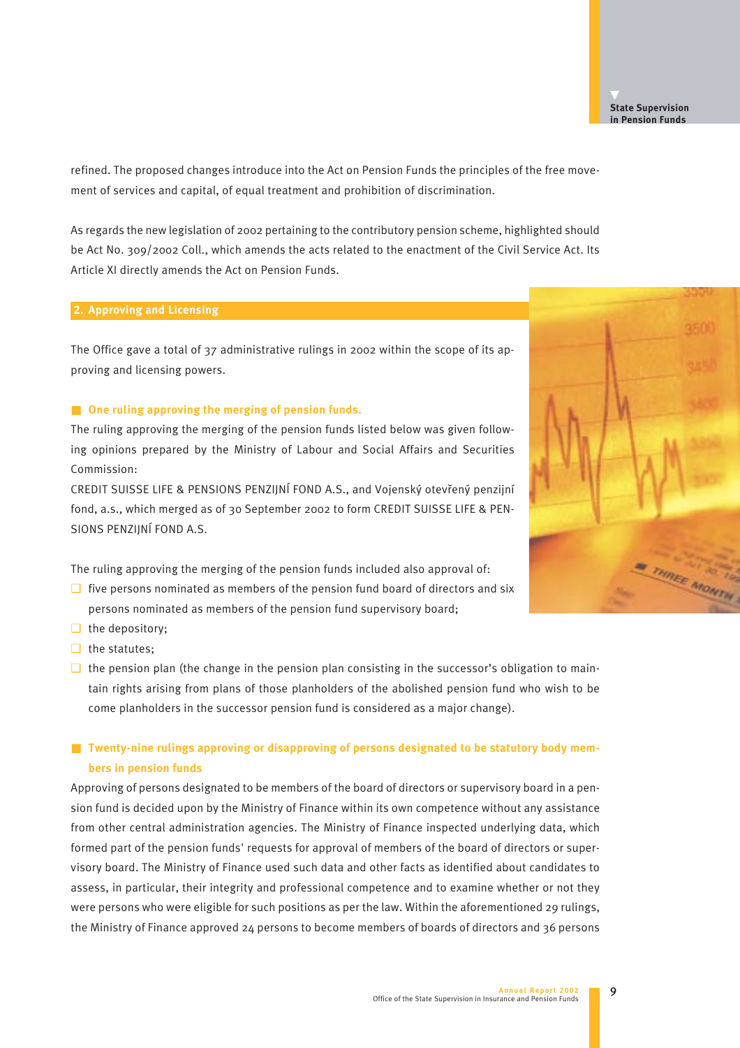refined. The proposed changes introduce into the Act on Pension Funds the principles of the free movement of services and capital, of equal treatment and prohibition of discrimination.

As regards the new legislation of 2002 pertaining to the contributory pension scheme, highlighted should be Act No. 309/2002 Coll., which amends the acts related to the enactment of the Civil Service Act. Its Article XI directly amends the Act on Pension Funds.

#### **2. Approving and Licensing**

The Office gave a total of 37 administrative rulings in 2002 within the scope of its approving and licensing powers.

#### ■ **One ruling approving the merging of pension funds.**

The ruling approving the merging of the pension funds listed below was given following opinions prepared by the Ministry of Labour and Social Affairs and Securities Commission:

CREDIT SUISSE LIFE & PENSIONS PENZIJNÍ FOND A.S., and Vojenský otevřený penzijní fond, a.s., which merged as of 30 September 2002 to form CREDIT SUISSE LIFE & PEN-SIONS PENZIJNÍ FOND A.S.

The ruling approving the merging of the pension funds included also approval of:

- $\Box$  five persons nominated as members of the pension fund board of directors and six persons nominated as members of the pension fund supervisory board;
- ❑ the depository;
- ❑ the statutes;
- $\Box$  the pension plan (the change in the pension plan consisting in the successor's obligation to maintain rights arising from plans of those planholders of the abolished pension fund who wish to be come planholders in the successor pension fund is considered as a major change).

# ■ **Twenty-nine rulings approving or disapproving of persons designated to be statutory body members in pension funds**

Approving of persons designated to be members of the board of directors or supervisory board in a pension fund is decided upon by the Ministry of Finance within its own competence without any assistance from other central administration agencies. The Ministry of Finance inspected underlying data, which formed part of the pension funds' requests for approval of members of the board of directors or supervisory board. The Ministry of Finance used such data and other facts as identified about candidates to assess, in particular, their integrity and professional competence and to examine whether or not they were persons who were eligible for such positions as per the law. Within the aforementioned 29 rulings, the Ministry of Finance approved 24 persons to become members of boards of directors and 36 persons

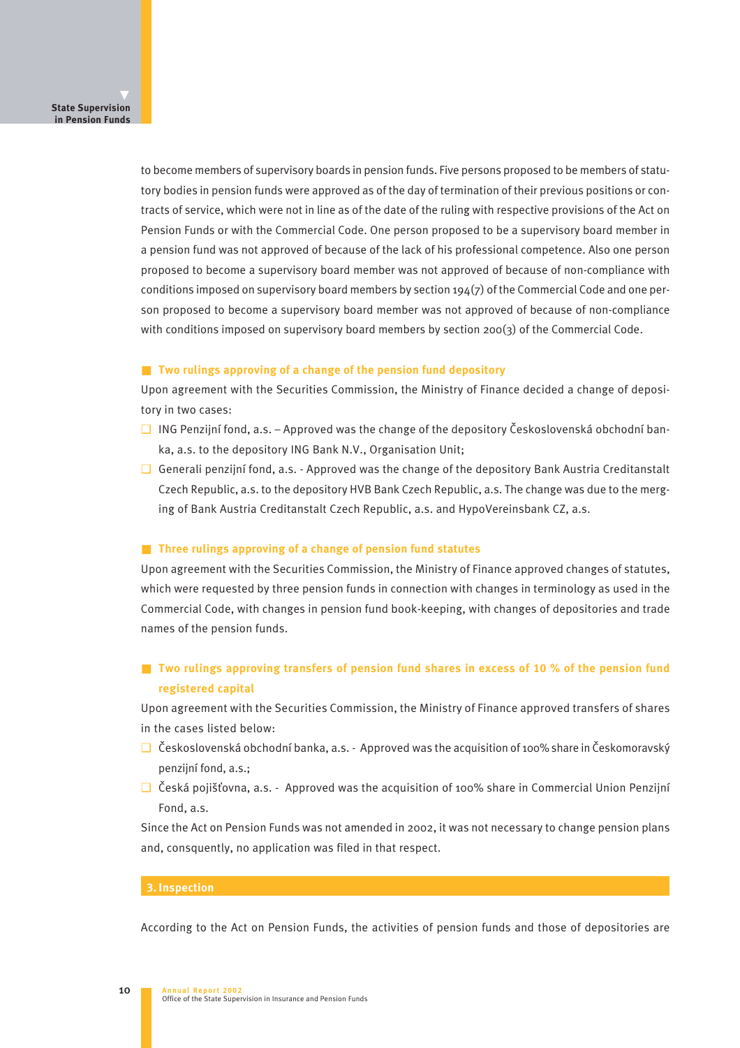to become members of supervisory boards in pension funds. Five persons proposed to be members of statutory bodies in pension funds were approved as of the day of termination of their previous positions or contracts of service, which were not in line as of the date of the ruling with respective provisions of the Act on Pension Funds or with the Commercial Code. One person proposed to be a supervisory board member in a pension fund was not approved of because of the lack of his professional competence. Also one person proposed to become a supervisory board member was not approved of because of non-compliance with conditions imposed on supervisory board members by section  $194(7)$  of the Commercial Code and one person proposed to become a supervisory board member was not approved of because of non-compliance with conditions imposed on supervisory board members by section 200(3) of the Commercial Code.

#### ■ **Two rulings approving of a change of the pension fund depository**

Upon agreement with the Securities Commission, the Ministry of Finance decided a change of depository in two cases:

- $\Box$  ING Penzijní fond, a.s. Approved was the change of the depository Československá obchodní banka, a.s. to the depository ING Bank N.V., Organisation Unit;
- ❑ Generali penzijní fond, a.s. Approved was the change of the depository Bank Austria Creditanstalt Czech Republic, a.s. to the depository HVB Bank Czech Republic, a.s. The change was due to the merging of Bank Austria Creditanstalt Czech Republic, a.s. and HypoVereinsbank CZ, a.s.

#### ■ **Three rulings approving of a change of pension fund statutes**

Upon agreement with the Securities Commission, the Ministry of Finance approved changes of statutes, which were requested by three pension funds in connection with changes in terminology as used in the Commercial Code, with changes in pension fund book-keeping, with changes of depositories and trade names of the pension funds.

# ■ **Two rulings approving transfers of pension fund shares in excess of 10 % of the pension fund registered capital**

Upon agreement with the Securities Commission, the Ministry of Finance approved transfers of shares in the cases listed below:

- □ Československá obchodní banka, a.s. Approved was the acquisition of 100% share in Českomoravský penzijní fond, a.s.;
- $\Box$  Česká pojišťovna, a.s. Approved was the acquisition of 100% share in Commercial Union Penzijní Fond, a.s.

Since the Act on Pension Funds was not amended in 2002, it was not necessary to change pension plans and, consquently, no application was filed in that respect.

#### **3. Inspection**

According to the Act on Pension Funds, the activities of pension funds and those of depositories are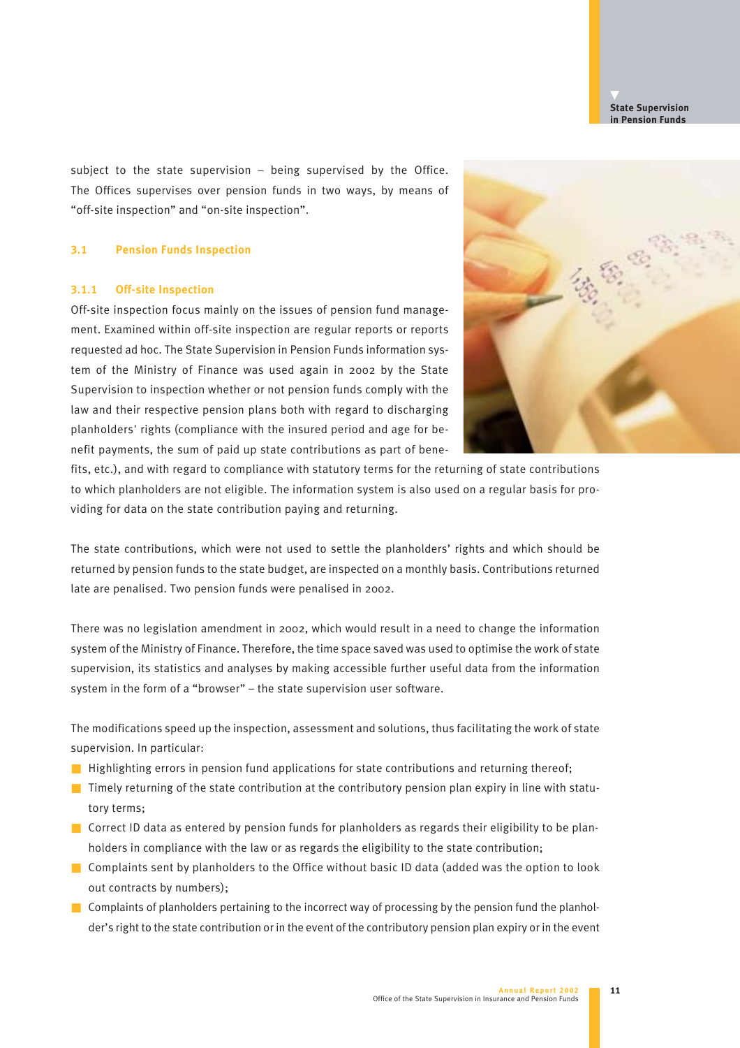subject to the state supervision – being supervised by the Office. The Offices supervises over pension funds in two ways, by means of "off-site inspection" and "on-site inspection".

#### **3.1 Pension Funds Inspection**

### **3.1.1 Off-site Inspection**

Off-site inspection focus mainly on the issues of pension fund management. Examined within off-site inspection are regular reports or reports requested ad hoc. The State Supervision in Pension Funds information system of the Ministry of Finance was used again in 2002 by the State Supervision to inspection whether or not pension funds comply with the law and their respective pension plans both with regard to discharging planholders' rights (compliance with the insured period and age for benefit payments, the sum of paid up state contributions as part of bene-



fits, etc.), and with regard to compliance with statutory terms for the returning of state contributions to which planholders are not eligible. The information system is also used on a regular basis for providing for data on the state contribution paying and returning.

The state contributions, which were not used to settle the planholders' rights and which should be returned by pension funds to the state budget, are inspected on a monthly basis. Contributions returned late are penalised. Two pension funds were penalised in 2002.

There was no legislation amendment in 2002, which would result in a need to change the information system of the Ministry of Finance. Therefore, the time space saved was used to optimise the work of state supervision, its statistics and analyses by making accessible further useful data from the information system in the form of a "browser" – the state supervision user software.

The modifications speed up the inspection, assessment and solutions, thus facilitating the work of state supervision. In particular:

- Highlighting errors in pension fund applications for state contributions and returning thereof;
- $\blacksquare$  Timely returning of the state contribution at the contributory pension plan expiry in line with statutory terms;
- Correct ID data as entered by pension funds for planholders as regards their eligibility to be planholders in compliance with the law or as regards the eligibility to the state contribution;
- Complaints sent by planholders to the Office without basic ID data (added was the option to look out contracts by numbers);
- Complaints of planholders pertaining to the incorrect way of processing by the pension fund the planholder's right to the state contribution or in the event of the contributory pension plan expiry or in the event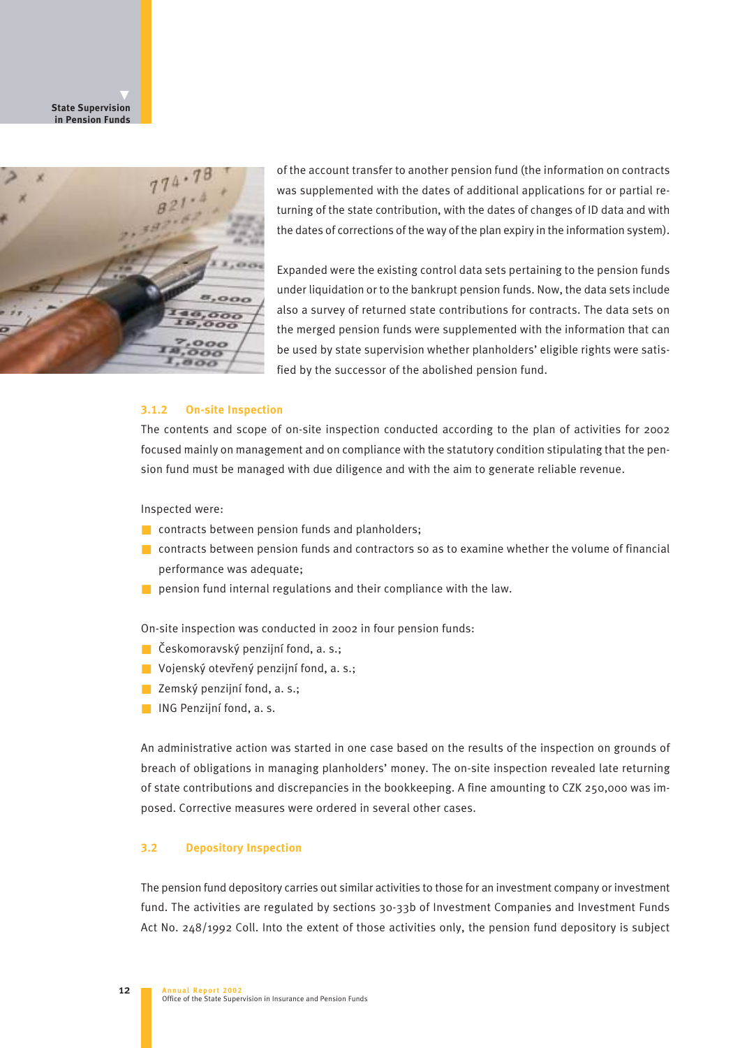**State Supervision in Pension Funds**



of the account transfer to another pension fund (the information on contracts was supplemented with the dates of additional applications for or partial returning of the state contribution, with the dates of changes of ID data and with the dates of corrections of the way of the plan expiry in the information system).

Expanded were the existing control data sets pertaining to the pension funds under liquidation or to the bankrupt pension funds. Now, the data sets include also a survey of returned state contributions for contracts. The data sets on the merged pension funds were supplemented with the information that can be used by state supervision whether planholders' eligible rights were satisfied by the successor of the abolished pension fund.

#### **3.1.2 On-site Inspection**

The contents and scope of on-site inspection conducted according to the plan of activities for 2002 focused mainly on management and on compliance with the statutory condition stipulating that the pension fund must be managed with due diligence and with the aim to generate reliable revenue.

Inspected were:

- contracts between pension funds and planholders;
- contracts between pension funds and contractors so as to examine whether the volume of financial performance was adequate;
- $\blacksquare$  pension fund internal regulations and their compliance with the law.

On-site inspection was conducted in 2002 in four pension funds:

- Českomoravský penzijní fond, a. s.;
- Vojenský otevřený penzijní fond, a. s.;
- Zemský penzijní fond, a. s.;
- ING Penzijní fond, a. s.

An administrative action was started in one case based on the results of the inspection on grounds of breach of obligations in managing planholders' money. The on-site inspection revealed late returning of state contributions and discrepancies in the bookkeeping. A fine amounting to CZK 250,000 was imposed. Corrective measures were ordered in several other cases.

#### **3.2 Depository Inspection**

The pension fund depository carries out similar activities to those for an investment company or investment fund. The activities are regulated by sections 30-33b of Investment Companies and Investment Funds Act No. 248/1992 Coll. Into the extent of those activities only, the pension fund depository is subject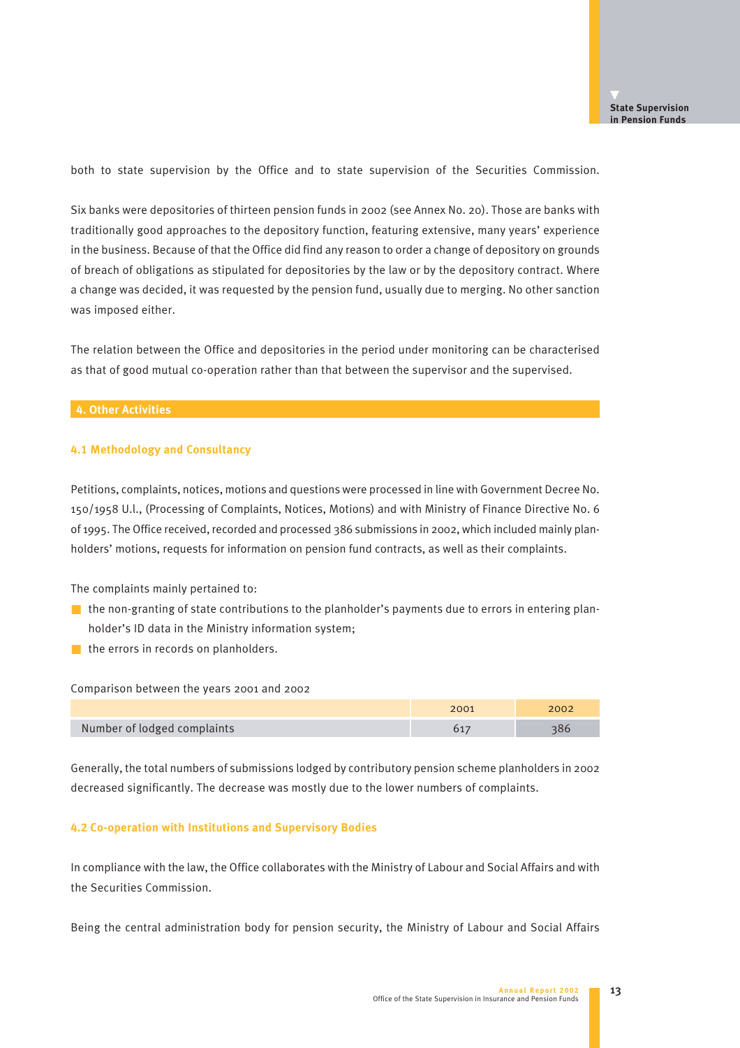both to state supervision by the Office and to state supervision of the Securities Commission.

Six banks were depositories of thirteen pension funds in 2002 (see Annex No. 20). Those are banks with traditionally good approaches to the depository function, featuring extensive, many years' experience in the business. Because of that the Office did find any reason to order a change of depository on grounds of breach of obligations as stipulated for depositories by the law or by the depository contract. Where a change was decided, it was requested by the pension fund, usually due to merging. No other sanction was imposed either.

The relation between the Office and depositories in the period under monitoring can be characterised as that of good mutual co-operation rather than that between the supervisor and the supervised.

#### **4. Other Activities**

#### **4.1 Methodology and Consultancy**

Petitions, complaints, notices, motions and questions were processed in line with Government Decree No. 150/1958 U.l., (Processing of Complaints, Notices, Motions) and with Ministry of Finance Directive No. 6 of 1995. The Office received, recorded and processed 386 submissions in 2002, which included mainly planholders' motions, requests for information on pension fund contracts, as well as their complaints.

The complaints mainly pertained to:

- the non-granting of state contributions to the planholder's payments due to errors in entering planholder's ID data in the Ministry information system;
- the errors in records on planholders.

Comparison between the years 2001 and 2002

|                             | 2001 | 2002 |
|-----------------------------|------|------|
| Number of lodged complaints |      |      |

Generally, the total numbers of submissions lodged by contributory pension scheme planholders in 2002 decreased significantly. The decrease was mostly due to the lower numbers of complaints.

#### **4.2 Co-operation with Institutions and Supervisory Bodies**

In compliance with the law, the Office collaborates with the Ministry of Labour and Social Affairs and with the Securities Commission.

Being the central administration body for pension security, the Ministry of Labour and Social Affairs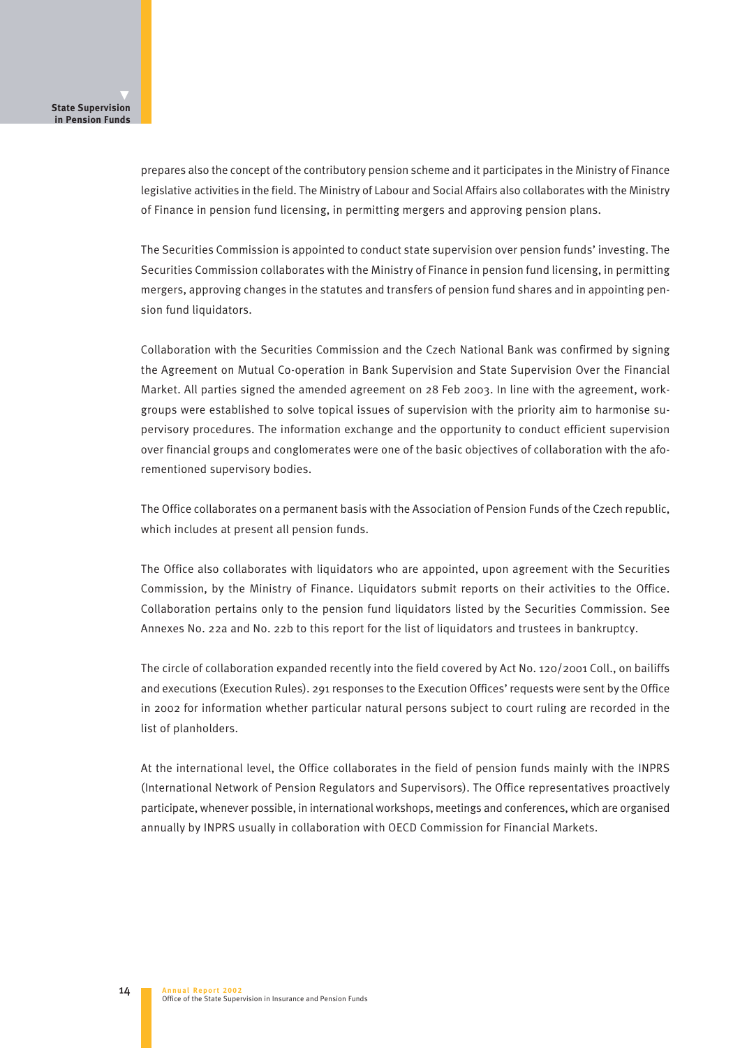prepares also the concept of the contributory pension scheme and it participates in the Ministry of Finance legislative activities in the field. The Ministry of Labour and Social Affairs also collaborates with the Ministry of Finance in pension fund licensing, in permitting mergers and approving pension plans.

The Securities Commission is appointed to conduct state supervision over pension funds' investing. The Securities Commission collaborates with the Ministry of Finance in pension fund licensing, in permitting mergers, approving changes in the statutes and transfers of pension fund shares and in appointing pension fund liquidators.

Collaboration with the Securities Commission and the Czech National Bank was confirmed by signing the Agreement on Mutual Co-operation in Bank Supervision and State Supervision Over the Financial Market. All parties signed the amended agreement on 28 Feb 2003. In line with the agreement, workgroups were established to solve topical issues of supervision with the priority aim to harmonise supervisory procedures. The information exchange and the opportunity to conduct efficient supervision over financial groups and conglomerates were one of the basic objectives of collaboration with the aforementioned supervisory bodies.

The Office collaborates on a permanent basis with the Association of Pension Funds of the Czech republic, which includes at present all pension funds.

The Office also collaborates with liquidators who are appointed, upon agreement with the Securities Commission, by the Ministry of Finance. Liquidators submit reports on their activities to the Office. Collaboration pertains only to the pension fund liquidators listed by the Securities Commission. See Annexes No. 22a and No. 22b to this report for the list of liquidators and trustees in bankruptcy.

The circle of collaboration expanded recently into the field covered by Act No. 120/2001 Coll., on bailiffs and executions (Execution Rules). 291 responses to the Execution Offices' requests were sent by the Office in 2002 for information whether particular natural persons subject to court ruling are recorded in the list of planholders.

At the international level, the Office collaborates in the field of pension funds mainly with the INPRS (International Network of Pension Regulators and Supervisors). The Office representatives proactively participate, whenever possible, in international workshops, meetings and conferences, which are organised annually by INPRS usually in collaboration with OECD Commission for Financial Markets.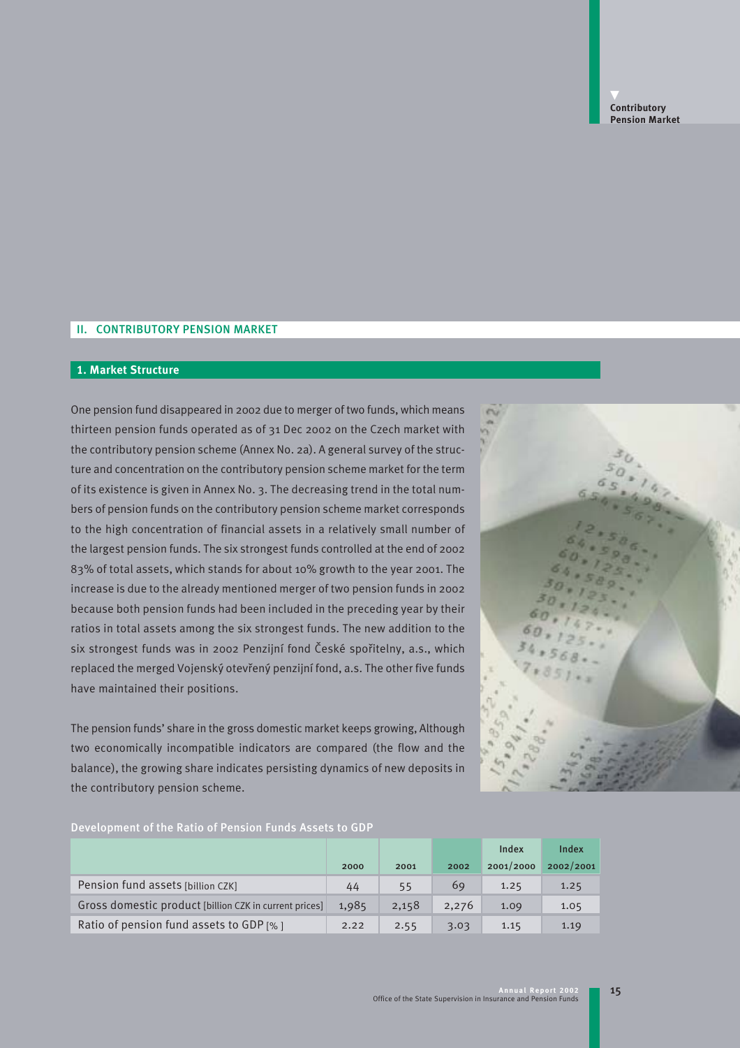# II. CONTRIBUTORY PENSION MARKET

### **1. Market Structure**

One pension fund disappeared in 2002 due to merger of two funds, which means thirteen pension funds operated as of 31 Dec 2002 on the Czech market with the contributory pension scheme (Annex No. 2a). A general survey of the structure and concentration on the contributory pension scheme market for the term of its existence is given in Annex No. 3. The decreasing trend in the total numbers of pension funds on the contributory pension scheme market corresponds to the high concentration of financial assets in a relatively small number of the largest pension funds. The six strongest funds controlled at the end of 2002 83% of total assets, which stands for about 10% growth to the year 2001. The increase is due to the already mentioned merger of two pension funds in 2002 because both pension funds had been included in the preceding year by their ratios in total assets among the six strongest funds. The new addition to the six strongest funds was in 2002 Penzijní fond České spořitelny, a.s., which replaced the merged Vojenský otevřený penzijní fond, a.s. The other five funds have maintained their positions.

The pension funds' share in the gross domestic market keeps growing, Although two economically incompatible indicators are compared (the flow and the balance), the growing share indicates persisting dynamics of new deposits in the contributory pension scheme.



15

# Development of the Ratio of Pension Funds Assets to GDP

|                                                        |       |       |       | Index     | Index     |
|--------------------------------------------------------|-------|-------|-------|-----------|-----------|
|                                                        | 2000  | 2001  | 2002  | 2001/2000 | 2002/2001 |
| Pension fund assets [billion CZK]                      | 44    | 55    | 69    | 1.25      | 1.25      |
| Gross domestic product [billion CZK in current prices] | 1,985 | 2,158 | 2,276 | 1.09      | 1.05      |
| Ratio of pension fund assets to GDP [%]                | 2.22  | 2.55  | 3.03  | 1.15      | 1.19      |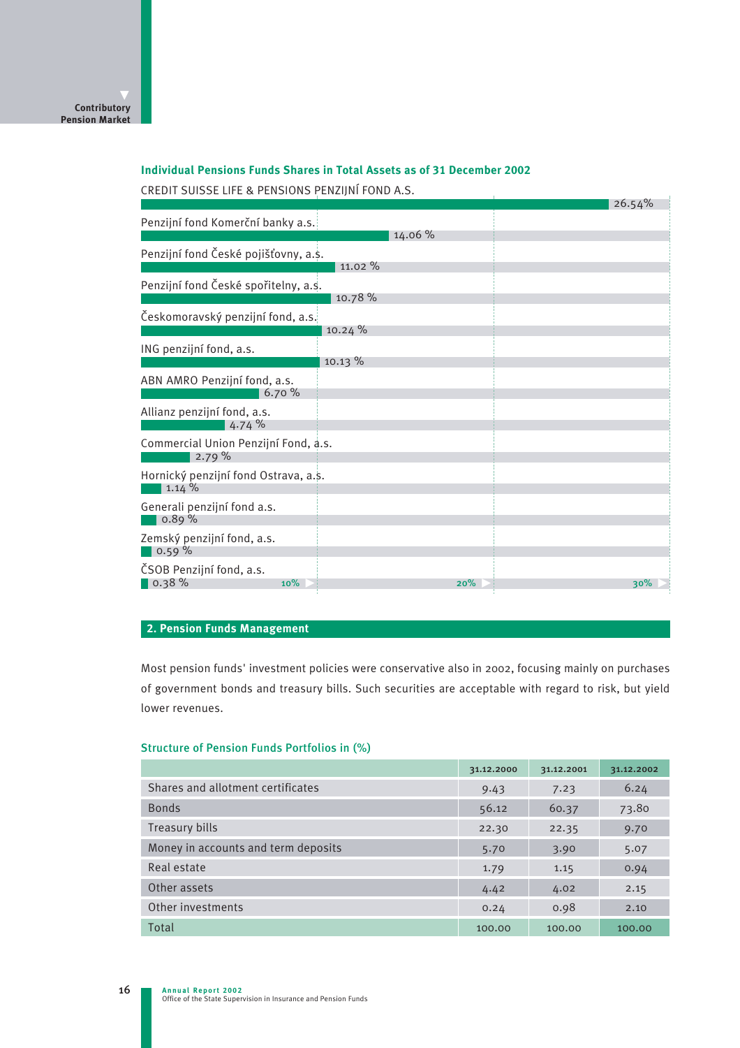# **Individual Pensions Funds Shares in Total Assets as of 31 December 2002**

CREDIT SUISSE LIFE & PENSIONS PENZIJNÍ FOND A.S.

| CREDIT SUISSE LIFE & PENSIUNS PENZIJNI FUND A.S. |           | 26.54% |
|--------------------------------------------------|-----------|--------|
| Penzijní fond Komerční banky a.s.                |           |        |
|                                                  | 14.06 %   |        |
| Penzijní fond České pojišťovny, a.s.             |           |        |
|                                                  | 11.02%    |        |
| Penzijní fond České spořitelny, a.s.             |           |        |
|                                                  | 10.78 %   |        |
| Českomoravský penzijní fond, a.s.                |           |        |
|                                                  | 10.24%    |        |
| ING penzijní fond, a.s.                          |           |        |
|                                                  | $10.13\%$ |        |
| ABN AMRO Penzijní fond, a.s.                     |           |        |
| 6.70%                                            |           |        |
| Allianz penzijní fond, a.s.<br>4.74%             |           |        |
|                                                  |           |        |
| Commercial Union Penzijní Fond, a.s.<br>2.79%    |           |        |
| Hornický penzijní fond Ostrava, a.s.             |           |        |
| 1.14%                                            |           |        |
| Generali penzijní fond a.s.<br>0.89%             |           |        |
|                                                  |           |        |
| Zemský penzijní fond, a.s.<br>0.59%              |           |        |
|                                                  |           |        |
| ČSOB Penzijní fond, a.s.                         |           |        |
| $\vert$ 0.38 %<br>10%                            | 20%       | 30%    |

# **2. Pension Funds Management**

Most pension funds' investment policies were conservative also in 2002, focusing mainly on purchases of government bonds and treasury bills. Such securities are acceptable with regard to risk, but yield lower revenues.

#### Structure of Pension Funds Portfolios in (%)

|                                     | 31.12.2000 | 31.12.2001 | 31.12.2002 |
|-------------------------------------|------------|------------|------------|
| Shares and allotment certificates   | 9.43       | 7.23       | 6.24       |
| <b>Bonds</b>                        | 56.12      | 60.37      | 73.80      |
| Treasury bills                      | 22.30      | 22.35      | 9.70       |
| Money in accounts and term deposits | 5.70       | 3.90       | 5.07       |
| Real estate                         | 1.79       | 1.15       | 0.94       |
| Other assets                        | 4.42       | 4.02       | 2.15       |
| Other investments                   | 0.24       | 0.98       | 2.10       |
| Total                               | 100.00     | 100.00     | 100.00     |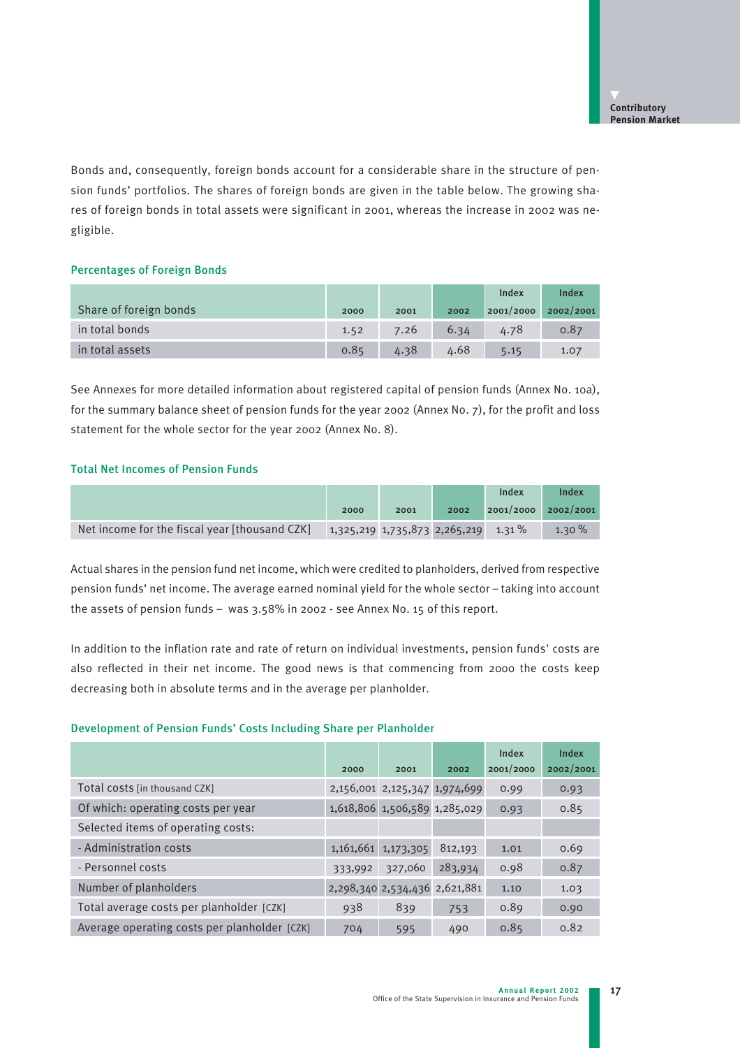Bonds and, consequently, foreign bonds account for a considerable share in the structure of pension funds' portfolios. The shares of foreign bonds are given in the table below. The growing shares of foreign bonds in total assets were significant in 2001, whereas the increase in 2002 was negligible.

#### Percentages of Foreign Bonds

|                        |      |      |      | Index     | Index     |
|------------------------|------|------|------|-----------|-----------|
| Share of foreign bonds | 2000 | 2001 | 2002 | 2001/2000 | 2002/2001 |
| in total bonds         | 1.52 | 7.26 | 6.34 | 4.78      | 0.87      |
| in total assets        | 0.85 | 4.38 | 4.68 | 5.15      | 1.07      |

See Annexes for more detailed information about registered capital of pension funds (Annex No. 10a), for the summary balance sheet of pension funds for the year 2002 (Annex No. 7), for the profit and loss statement for the whole sector for the year 2002 (Annex No. 8).

### Total Net Incomes of Pension Funds

|                                               |                                       |      |      | Index     | Index     |
|-----------------------------------------------|---------------------------------------|------|------|-----------|-----------|
|                                               | 2000                                  | 2001 | 2002 | 2001/2000 | 2002/2001 |
| Net income for the fiscal year [thousand CZK] | $1,325,219$ 1,735,873 2,265,219 1.31% |      |      |           | $1.30\%$  |

Actual shares in the pension fund net income, which were credited to planholders, derived from respective pension funds' net income. The average earned nominal yield for the whole sector – taking into account the assets of pension funds – was 3.58% in 2002 - see Annex No. 15 of this report.

In addition to the inflation rate and rate of return on individual investments, pension funds' costs are also reflected in their net income. The good news is that commencing from 2000 the costs keep decreasing both in absolute terms and in the average per planholder.

### Development of Pension Funds' Costs Including Share per Planholder

|                                              | 2000    | 2001                          | 2002    | Index<br>2001/2000 | Index<br>2002/2001 |
|----------------------------------------------|---------|-------------------------------|---------|--------------------|--------------------|
| Total costs [in thousand CZK]                |         | 2,156,001 2,125,347 1,974,699 |         | 0.99               | 0.93               |
| Of which: operating costs per year           |         | 1,618,806 1,506,589 1,285,029 |         | 0.93               | 0.85               |
| Selected items of operating costs:           |         |                               |         |                    |                    |
| - Administration costs                       |         | 1, 161, 661 1, 173, 305       | 812,193 | 1.01               | 0.69               |
| - Personnel costs                            | 333,992 | 327,060                       | 283,934 | 0.98               | 0.87               |
| Number of planholders                        |         | 2,298,340 2,534,436 2,621,881 |         | 1.10               | 1.03               |
| Total average costs per planholder [CZK]     | 938     | 839                           | 753     | 0.89               | 0.90               |
| Average operating costs per planholder [CZK] | 704     | 595                           | 490     | 0.85               | 0.82               |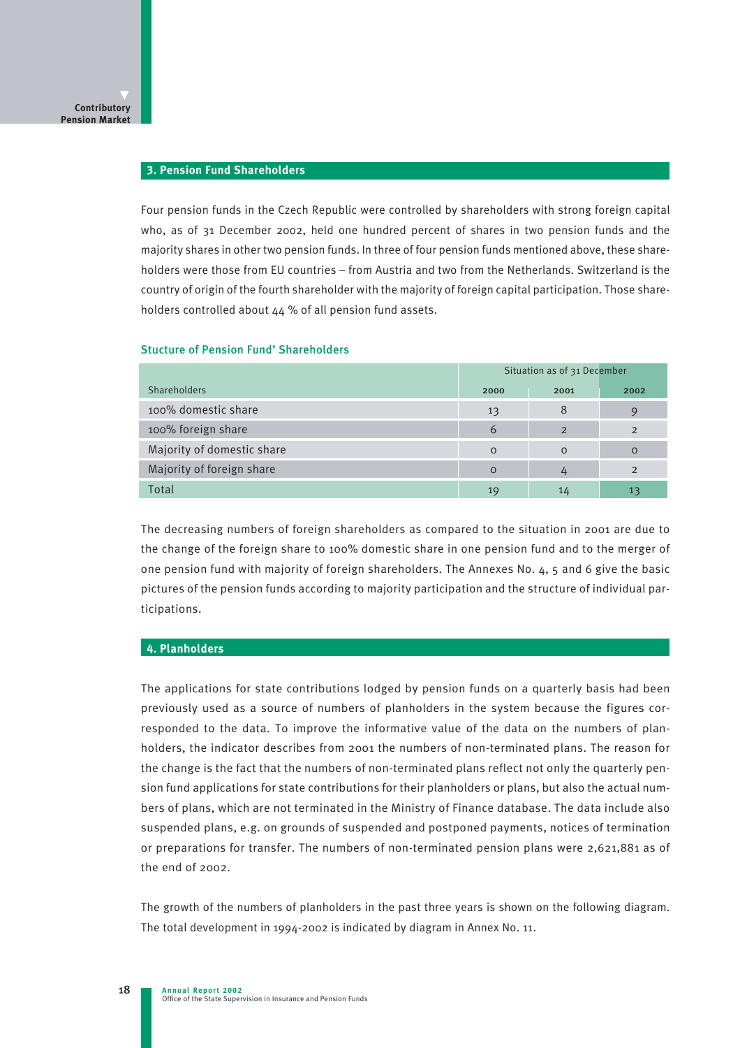#### **3. Pension Fund Shareholders**

Four pension funds in the Czech Republic were controlled by shareholders with strong foreign capital who, as of 31 December 2002, held one hundred percent of shares in two pension funds and the majority shares in other two pension funds. In three of four pension funds mentioned above, these shareholders were those from EU countries – from Austria and two from the Netherlands. Switzerland is the country of origin of the fourth shareholder with the majority of foreign capital participation. Those shareholders controlled about 44 % of all pension fund assets.

# Situation as of 31 December Shareholders 2000 2001 2002 100% domestic share 13  $\overline{13}$  8 9 100% foreign share 6 2 2 Majority of domestic share 0 0 0 Majority of foreign share **0** 2 2 Total 19 14 13 13 13 14 14 15 16 17 17 18 19 19 1 $\mu$  14 13 13 13 14 13 13 14 14 15 15 16

#### Stucture of Pension Fund' Shareholders

The decreasing numbers of foreign shareholders as compared to the situation in 2001 are due to the change of the foreign share to 100% domestic share in one pension fund and to the merger of one pension fund with majority of foreign shareholders. The Annexes No. 4, 5 and 6 give the basic pictures of the pension funds according to majority participation and the structure of individual participations.

#### **4. Planholders**

The applications for state contributions lodged by pension funds on a quarterly basis had been previously used as a source of numbers of planholders in the system because the figures corresponded to the data. To improve the informative value of the data on the numbers of planholders, the indicator describes from 2001 the numbers of non-terminated plans. The reason for the change is the fact that the numbers of non-terminated plans reflect not only the quarterly pension fund applications for state contributions for their planholders or plans, but also the actual numbers of plans, which are not terminated in the Ministry of Finance database. The data include also suspended plans, e.g. on grounds of suspended and postponed payments, notices of termination or preparations for transfer. The numbers of non-terminated pension plans were 2,621,881 as of the end of 2002.

The growth of the numbers of planholders in the past three years is shown on the following diagram. The total development in 1994-2002 is indicated by diagram in Annex No. 11.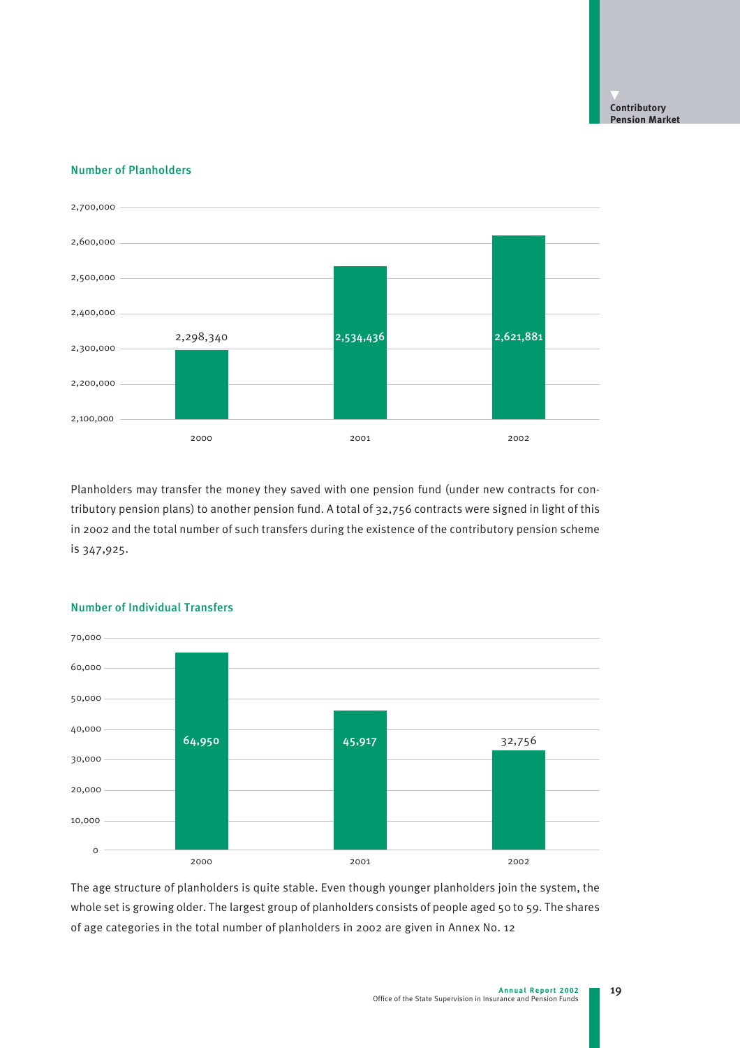### Number of Planholders



Planholders may transfer the money they saved with one pension fund (under new contracts for contributory pension plans) to another pension fund. A total of 32,756 contracts were signed in light of this in 2002 and the total number of such transfers during the existence of the contributory pension scheme is 347,925.



# Number of Individual Transfers

The age structure of planholders is quite stable. Even though younger planholders join the system, the whole set is growing older. The largest group of planholders consists of people aged 50 to 59. The shares of age categories in the total number of planholders in 2002 are given in Annex No. 12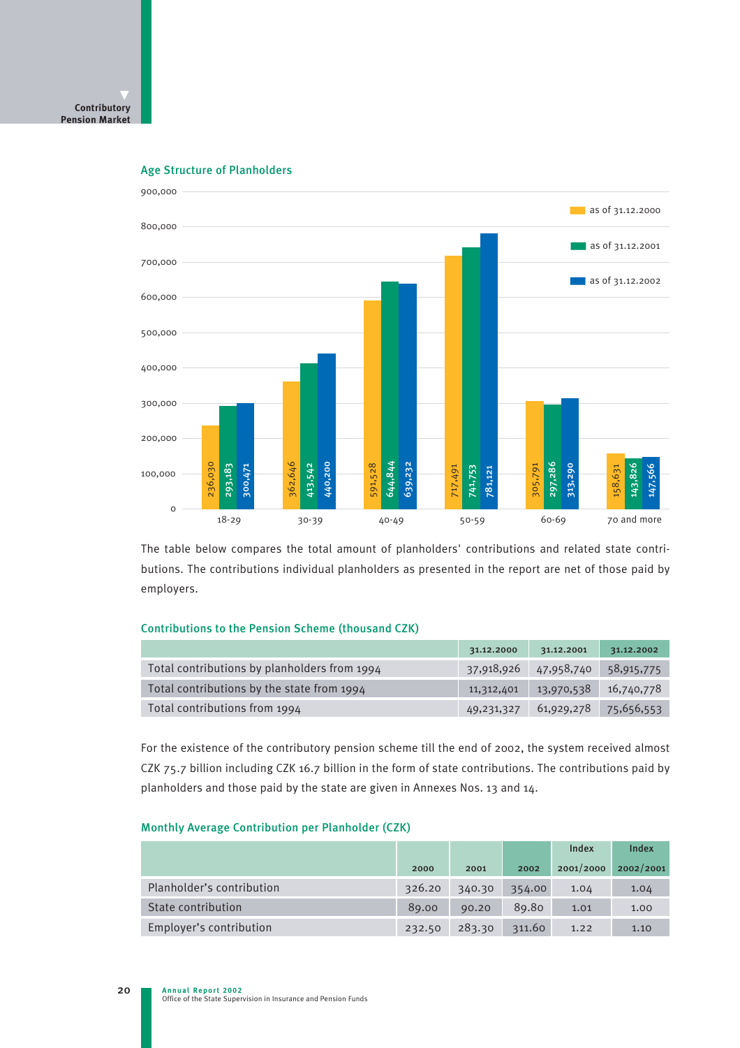

Age Structure of Planholders

The table below compares the total amount of planholders' contributions and related state contributions. The contributions individual planholders as presented in the report are net of those paid by employers.

### Contributions to the Pension Scheme (thousand CZK)

|                                              | 31.12.2000   | 31.12.2001 | 31.12.2002 |
|----------------------------------------------|--------------|------------|------------|
| Total contributions by planholders from 1994 | 37,918,926   | 47,958,740 | 58,915,775 |
| Total contributions by the state from 1994   | 11,312,401   | 13,970,538 | 16,740,778 |
| Total contributions from 1994                | 49, 231, 327 | 61,929,278 | 75,656,553 |

For the existence of the contributory pension scheme till the end of 2002, the system received almost CZK 75.7 billion including CZK 16.7 billion in the form of state contributions. The contributions paid by planholders and those paid by the state are given in Annexes Nos. 13 and 14.

#### Monthly Average Contribution per Planholder (CZK)

|                           |        |        |        | Index     | Index     |
|---------------------------|--------|--------|--------|-----------|-----------|
|                           | 2000   | 2001   | 2002   | 2001/2000 | 2002/2001 |
| Planholder's contribution | 326.20 | 340.30 | 354.00 | 1.04      | 1.04      |
| State contribution        | 89.00  | 90.20  | 89.80  | 1.01      | 1.00      |
| Employer's contribution   | 232.50 | 283.30 | 311.60 | 1.22      | 1.10      |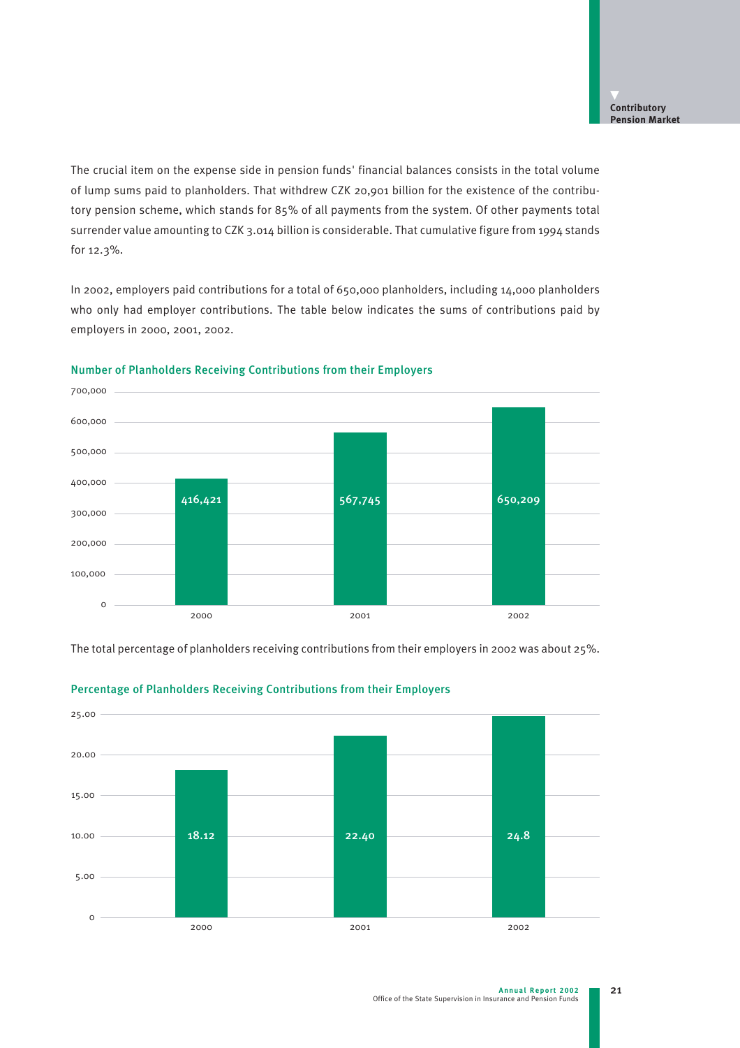The crucial item on the expense side in pension funds' financial balances consists in the total volume of lump sums paid to planholders. That withdrew CZK 20,901 billion for the existence of the contributory pension scheme, which stands for 85% of all payments from the system. Of other payments total surrender value amounting to CZK 3.014 billion is considerable. That cumulative figure from 1994 stands for 12.3%.

In 2002, employers paid contributions for a total of 650,000 planholders, including 14,000 planholders who only had employer contributions. The table below indicates the sums of contributions paid by employers in 2000, 2001, 2002.



#### Number of Planholders Receiving Contributions from their Employers

The total percentage of planholders receiving contributions from their employers in 2002 was about 25%.



# Percentage of Planholders Receiving Contributions from their Employers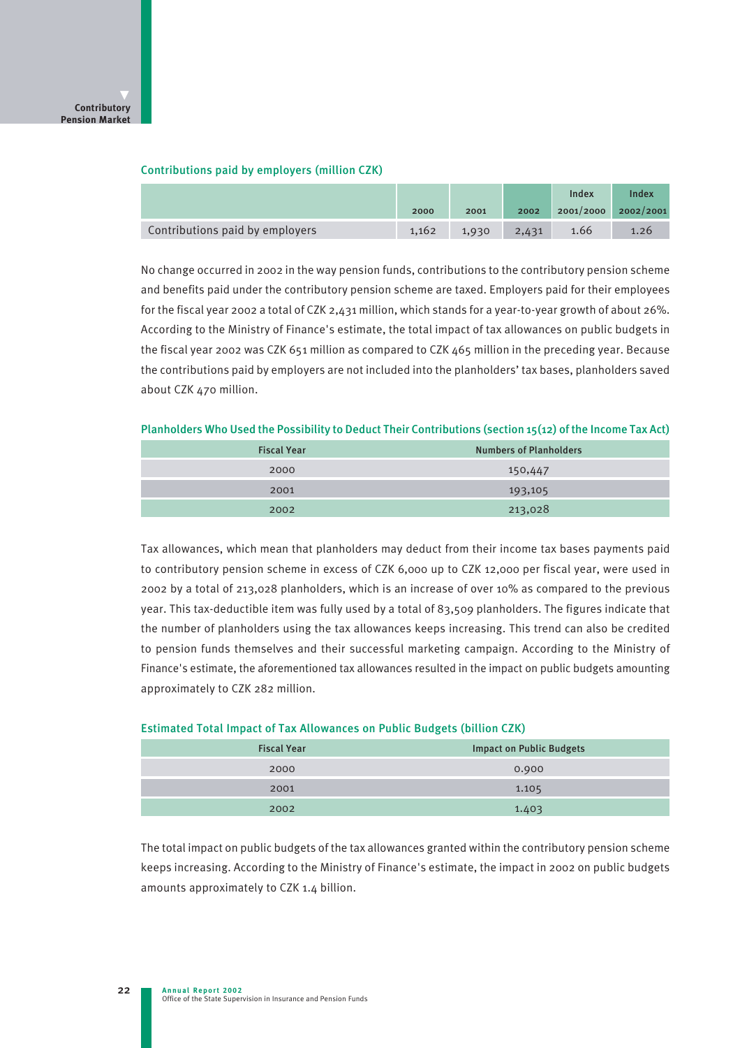### Contributions paid by employers (million CZK)

|                                 |       |       |       | Index                   | Index |
|---------------------------------|-------|-------|-------|-------------------------|-------|
|                                 | 2000  | 2001  | 2002  | $2001/2000$ $2002/2001$ |       |
| Contributions paid by employers | 1.162 | 1,930 | 2,431 | 1.66                    | 1.26  |

No change occurred in 2002 in the way pension funds, contributions to the contributory pension scheme and benefits paid under the contributory pension scheme are taxed. Employers paid for their employees for the fiscal year 2002 a total of CZK 2,431 million, which stands for a year-to-year growth of about 26%. According to the Ministry of Finance's estimate, the total impact of tax allowances on public budgets in the fiscal year 2002 was CZK 651 million as compared to CZK 465 million in the preceding year. Because the contributions paid by employers are not included into the planholders' tax bases, planholders saved about CZK 470 million.

Planholders Who Used the Possibility to Deduct Their Contributions (section 15(12) of the Income Tax Act)

| <b>Fiscal Year</b> | <b>Numbers of Planholders</b> |
|--------------------|-------------------------------|
| 2000               | 150,447                       |
| 2001               | 193,105                       |
| 2002               | 213,028                       |

Tax allowances, which mean that planholders may deduct from their income tax bases payments paid to contributory pension scheme in excess of CZK 6,000 up to CZK 12,000 per fiscal year, were used in 2002 by a total of 213,028 planholders, which is an increase of over 10% as compared to the previous year. This tax-deductible item was fully used by a total of 83,509 planholders. The figures indicate that the number of planholders using the tax allowances keeps increasing. This trend can also be credited to pension funds themselves and their successful marketing campaign. According to the Ministry of Finance's estimate, the aforementioned tax allowances resulted in the impact on public budgets amounting approximately to CZK 282 million.

| <b>Fiscal Year</b> | <b>Impact on Public Budgets</b> |
|--------------------|---------------------------------|
| 2000               | 0.900                           |
| 2001               | 1.105                           |
| 2002               | 1.403                           |

#### Estimated Total Impact of Tax Allowances on Public Budgets (billion CZK)

The total impact on public budgets of the tax allowances granted within the contributory pension scheme keeps increasing. According to the Ministry of Finance's estimate, the impact in 2002 on public budgets amounts approximately to CZK 1.4 billion.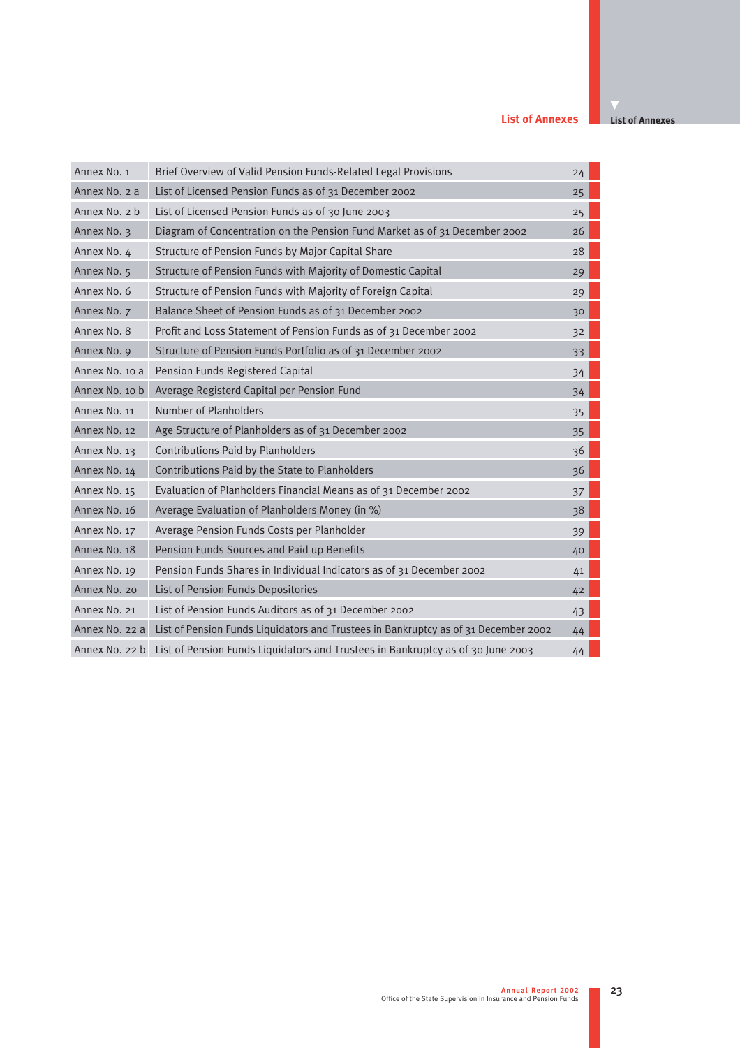#### **List of Annexes**

| Annex No. 1    | Brief Overview of Valid Pension Funds-Related Legal Provisions                      | 24 |
|----------------|-------------------------------------------------------------------------------------|----|
| Annex No. 2 a  | List of Licensed Pension Funds as of 31 December 2002                               | 25 |
| Annex No. 2 b  | List of Licensed Pension Funds as of 30 June 2003                                   | 25 |
| Annex No. 3    | Diagram of Concentration on the Pension Fund Market as of 31 December 2002          | 26 |
| Annex No. 4    | Structure of Pension Funds by Major Capital Share                                   | 28 |
| Annex No. 5    | Structure of Pension Funds with Majority of Domestic Capital                        | 29 |
| Annex No. 6    | Structure of Pension Funds with Majority of Foreign Capital                         | 29 |
| Annex No. 7    | Balance Sheet of Pension Funds as of 31 December 2002                               | 30 |
| Annex No. 8    | Profit and Loss Statement of Pension Funds as of 31 December 2002                   | 32 |
| Annex No. 9    | Structure of Pension Funds Portfolio as of 31 December 2002                         | 33 |
| Annex No. 10 a | Pension Funds Registered Capital                                                    | 34 |
| Annex No. 10 b | Average Registerd Capital per Pension Fund                                          | 34 |
| Annex No. 11   | Number of Planholders                                                               | 35 |
| Annex No. 12   | Age Structure of Planholders as of 31 December 2002                                 | 35 |
| Annex No. 13   | Contributions Paid by Planholders                                                   | 36 |
| Annex No. 14   | Contributions Paid by the State to Planholders                                      | 36 |
| Annex No. 15   | Evaluation of Planholders Financial Means as of 31 December 2002                    | 37 |
| Annex No. 16   | Average Evaluation of Planholders Money (in %)                                      | 38 |
| Annex No. 17   | Average Pension Funds Costs per Planholder                                          | 39 |
| Annex No. 18   | Pension Funds Sources and Paid up Benefits                                          | 40 |
| Annex No. 19   | Pension Funds Shares in Individual Indicators as of 31 December 2002                | 41 |
| Annex No. 20   | List of Pension Funds Depositories                                                  | 42 |
| Annex No. 21   | List of Pension Funds Auditors as of 31 December 2002                               | 43 |
| Annex No. 22 a | List of Pension Funds Liquidators and Trustees in Bankruptcy as of 31 December 2002 | 44 |
| Annex No. 22 b | List of Pension Funds Liquidators and Trustees in Bankruptcy as of 30 June 2003     | 44 |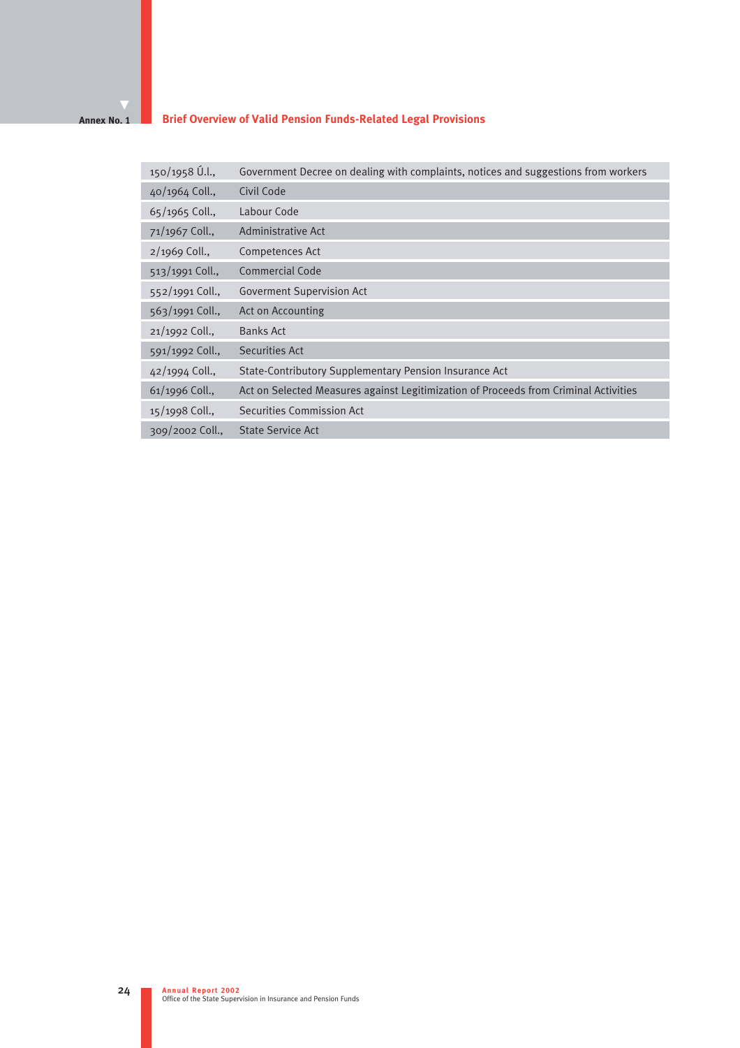#### **Brief Overview of Valid Pension Funds-Related Legal Provisions Annex No. 1**

| 150/1958 Ú.l.,    | Government Decree on dealing with complaints, notices and suggestions from workers   |
|-------------------|--------------------------------------------------------------------------------------|
| 40/1964 Coll.,    | Civil Code                                                                           |
| 65/1965 Coll.,    | Labour Code                                                                          |
| 71/1967 Coll.,    | Administrative Act                                                                   |
| $2/1969$ Coll.,   | Competences Act                                                                      |
| 513/1991 Coll.,   | <b>Commercial Code</b>                                                               |
| 552/1991 Coll.,   | <b>Goverment Supervision Act</b>                                                     |
| 563/1991 Coll.,   | Act on Accounting                                                                    |
| 21/1992 Coll.,    | <b>Banks Act</b>                                                                     |
| 591/1992 Coll.,   | Securities Act                                                                       |
| 42/1994 Coll.,    | State-Contributory Supplementary Pension Insurance Act                               |
| $61/1996$ Coll.,  | Act on Selected Measures against Legitimization of Proceeds from Criminal Activities |
| 15/1998 Coll.,    | Securities Commission Act                                                            |
| $309/2002$ Coll., | <b>State Service Act</b>                                                             |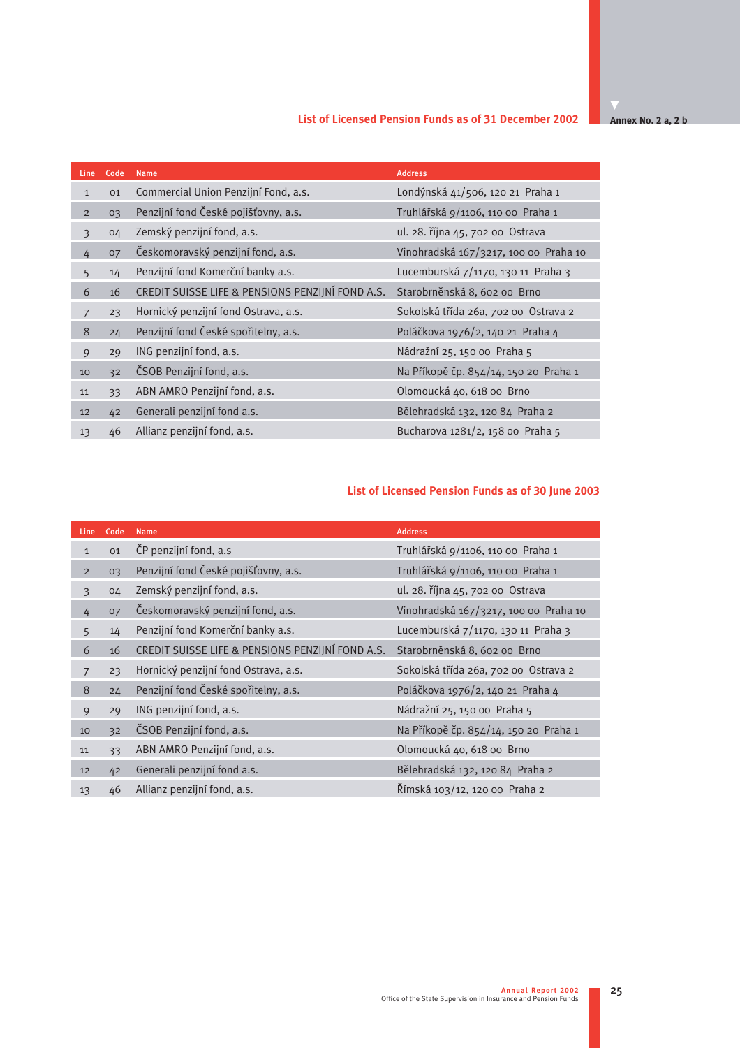# **List of Licensed Pension Funds as of 31 December 2002**

**Annex No. 2 a, 2 b** 

| Line           | Code | <b>Name</b>                                      | <b>Address</b>                        |
|----------------|------|--------------------------------------------------|---------------------------------------|
| $\mathbf{1}$   | 01   | Commercial Union Penzijní Fond, a.s.             | Londýnská 41/506, 120 21 Praha 1      |
| $\overline{2}$ | 03   | Penzijní fond České pojišťovny, a.s.             | Truhlářská 9/1106, 110 00 Praha 1     |
| 3              | 04   | Zemský penzijní fond, a.s.                       | ul. 28. října 45, 702 00 Ostrava      |
| 4              | 07   | Českomoravský penzijní fond, a.s.                | Vinohradská 167/3217, 100 00 Praha 10 |
| 5              | 14   | Penzijní fond Komerční banky a.s.                | Lucemburská 7/1170, 130 11 Praha 3    |
| 6              | 16   | CREDIT SUISSE LIFE & PENSIONS PENZIJNÍ FOND A.S. | Starobrněnská 8, 602 00 Brno          |
| $\overline{7}$ | 23   | Hornický penzijní fond Ostrava, a.s.             | Sokolská třída 26a, 702 00 Ostrava 2  |
| 8              | 24   | Penzijní fond České spořitelny, a.s.             | Poláčkova 1976/2, 140 21 Praha 4      |
| 9              | 29   | ING penzijní fond, a.s.                          | Nádražní 25, 150 00 Praha 5           |
| 10             | 32   | ČSOB Penzijní fond, a.s.                         | Na Příkopě čp. 854/14, 150 20 Praha 1 |
| 11             | 33   | ABN AMRO Penzijní fond, a.s.                     | Olomoucká 40, 618 00 Brno             |
| 12             | 42   | Generali penzijní fond a.s.                      | Bělehradská 132, 120 84 Praha 2       |
| 13             | 46   | Allianz penzijní fond, a.s.                      | Bucharova 1281/2, 158 00 Praha 5      |

# **List of Licensed Pension Funds as of 30 June 2003**

| Line           | Code | <b>Name</b>                                      | <b>Address</b>                        |
|----------------|------|--------------------------------------------------|---------------------------------------|
| $\mathbf{1}$   | 01   | ČP penzijní fond, a.s                            | Truhlářská 9/1106, 110 00 Praha 1     |
| $\overline{2}$ | 03   | Penzijní fond České pojišťovny, a.s.             | Truhlářská 9/1106, 110 00 Praha 1     |
| 3              | 04   | Zemský penzijní fond, a.s.                       | ul. 28. října 45, 702 00 Ostrava      |
| 4              | 07   | Českomoravský penzijní fond, a.s.                | Vinohradská 167/3217, 100 00 Praha 10 |
| 5              | 14   | Penzijní fond Komerční banky a.s.                | Lucemburská 7/1170, 130 11 Praha 3    |
| 6              | 16   | CREDIT SUISSE LIFE & PENSIONS PENZIJNÍ FOND A.S. | Starobrněnská 8, 602 00 Brno          |
| 7              | 23   | Hornický penzijní fond Ostrava, a.s.             | Sokolská třída 26a, 702 00 Ostrava 2  |
| 8              | 24   | Penzijní fond České spořitelny, a.s.             | Poláčkova 1976/2, 140 21 Praha 4      |
| 9              | 29   | ING penzijní fond, a.s.                          | Nádražní 25, 150 00 Praha 5           |
| 10             | 32   | ČSOB Penzijní fond, a.s.                         | Na Příkopě čp. 854/14, 150 20 Praha 1 |
| 11             | 33   | ABN AMRO Penzijní fond, a.s.                     | Olomoucká 40, 618 00 Brno             |
| 12             | 42   | Generali penzijní fond a.s.                      | Bělehradská 132, 120 84 Praha 2       |
| 13             | 46   | Allianz penzijní fond, a.s.                      | Římská 103/12, 120 00 Praha 2         |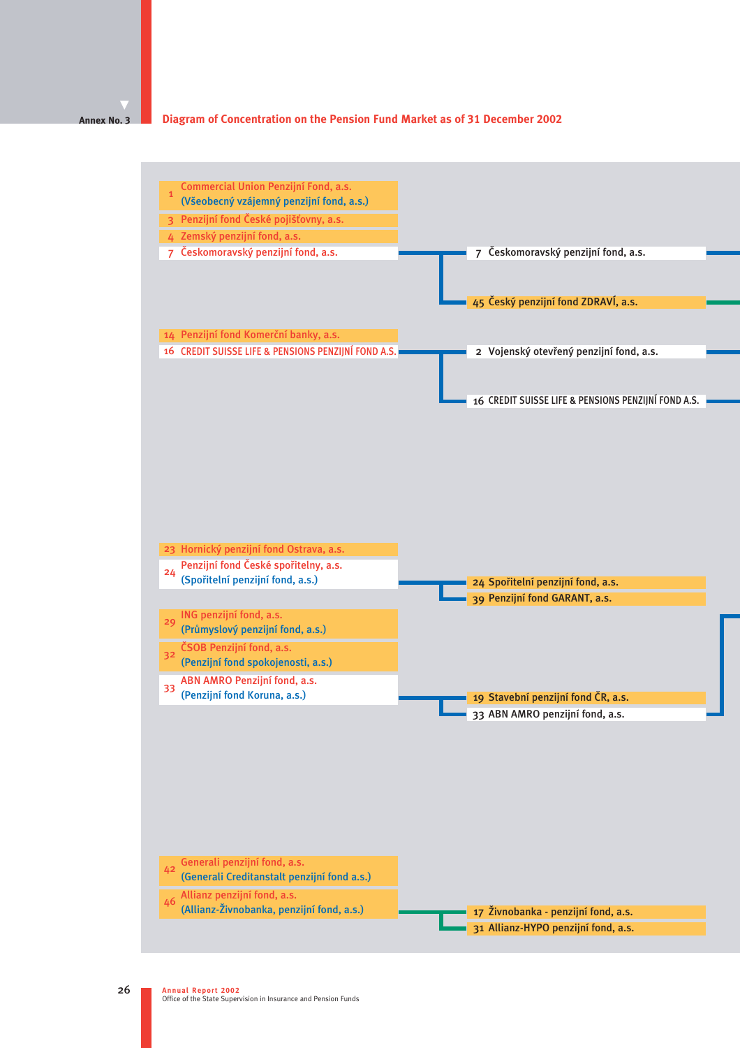#### **Diagram of Concentration on the Pension Fund Market as of 31 December 2002 Annex No. 3**

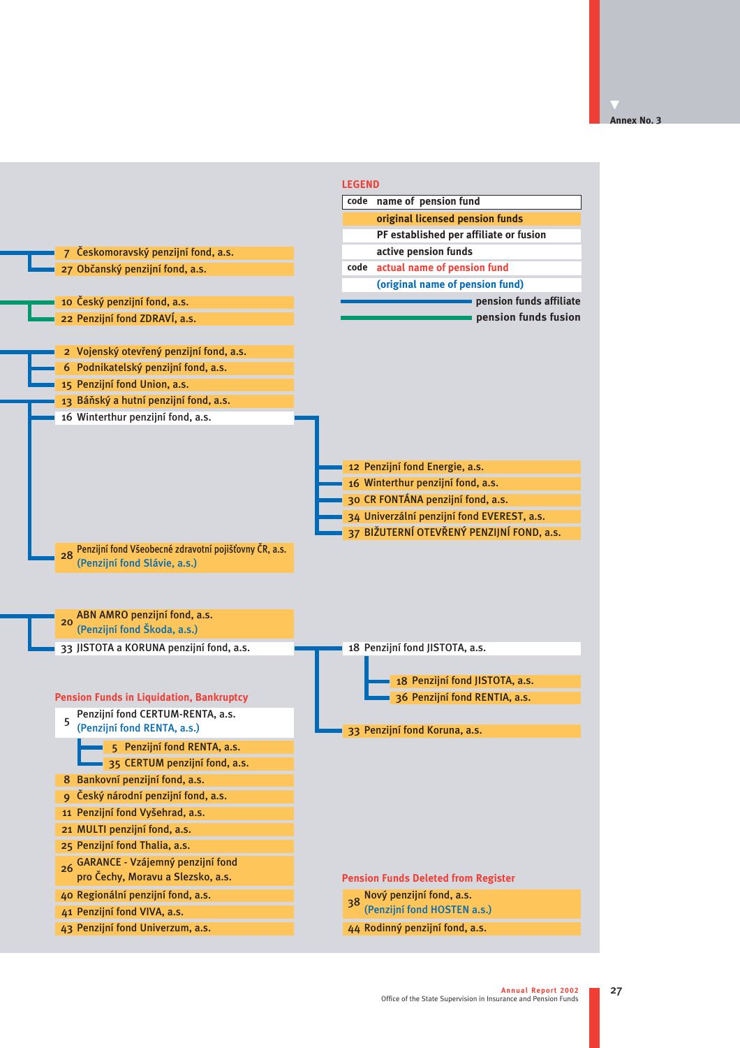|                                                                                             | <b>LEGEND</b>                              |
|---------------------------------------------------------------------------------------------|--------------------------------------------|
|                                                                                             | code name of pension fund                  |
|                                                                                             | original licensed pension funds            |
|                                                                                             | PF established per affiliate or fusion     |
| 7 Českomoravský penzijní fond, a.s.                                                         | active pension funds                       |
| 27 Občanský penzijní fond, a.s.                                                             | code actual name of pension fund           |
|                                                                                             | (original name of pension fund)            |
| 10 Český penzijní fond, a.s.                                                                | pension funds affiliate                    |
| 22 Penzijní fond ZDRAVÍ, a.s.                                                               | pension funds fusion                       |
|                                                                                             |                                            |
| 2 Vojenský otevřený penzijní fond, a.s.                                                     |                                            |
| 6 Podnikatelský penzijní fond, a.s.                                                         |                                            |
| 15 Penzijní fond Union, a.s.                                                                |                                            |
| 13 Báňský a hutní penzijní fond, a.s.                                                       |                                            |
| 16 Winterthur penzijní fond, a.s.                                                           | 12 Penzijní fond Energie, a.s.             |
|                                                                                             | 16 Winterthur penzijní fond, a.s.          |
|                                                                                             | 30 CR FONTÁNA penzijní fond, a.s.          |
|                                                                                             | 34 Univerzální penzijní fond EVEREST, a.s. |
|                                                                                             | 37 BIŽUTERNÍ OTEVŘENÝ PENZIJNÍ FOND, a.s.  |
| Penzijní fond Všeobecné zdravotní pojišťovny ČR, a.s.<br>28<br>(Penzijní fond Slávie, a.s.) |                                            |
| ABN AMRO penzijní fond, a.s.<br>20<br>(Penzijní fond Škoda, a.s.)                           |                                            |
| 33 JISTOTA a KORUNA penzijní fond, a.s.                                                     | 18 Penzijní fond JISTOTA, a.s.             |
|                                                                                             |                                            |
|                                                                                             | 18 Penzijní fond JISTOTA, a.s.             |
| <b>Pension Funds in Liquidation, Bankruptcy</b>                                             | 36 Penzijní fond RENTIA, a.s.              |
| Penzijní fond CERTUM-RENTA, a.s.<br>5                                                       |                                            |
| (Penzijní fond RENTA, a.s.)                                                                 | 33 Penzijní fond Koruna, a.s.              |
| 5 Penzijní fond RENTA, a.s.                                                                 |                                            |
| 35 CERTUM penzijní fond, a.s.                                                               |                                            |
| Bankovní penzijní fond, a.s.<br>8                                                           |                                            |
| 9 Český národní penzijní fond, a.s.                                                         |                                            |
| 11 Penzijní fond Vyšehrad, a.s.                                                             |                                            |
| 21 MULTI penzijní fond, a.s.                                                                |                                            |
| 25 Penzijní fond Thalia, a.s.                                                               |                                            |
| GARANCE - Vzájemný penzijní fond<br>26                                                      |                                            |
| pro Čechy, Moravu a Slezsko, a.s.                                                           | <b>Pension Funds Deleted from Register</b> |
| 40 Regionální penzijní fond, a.s.                                                           | Nový penzijní fond, a.s.<br>38             |
| 41 Penzijní fond VIVA, a.s.                                                                 | (Penzijní fond HOSTEN a.s.)                |
| 43 Penzijní fond Univerzum, a.s.                                                            | 44 Rodinný penzijní fond, a.s.             |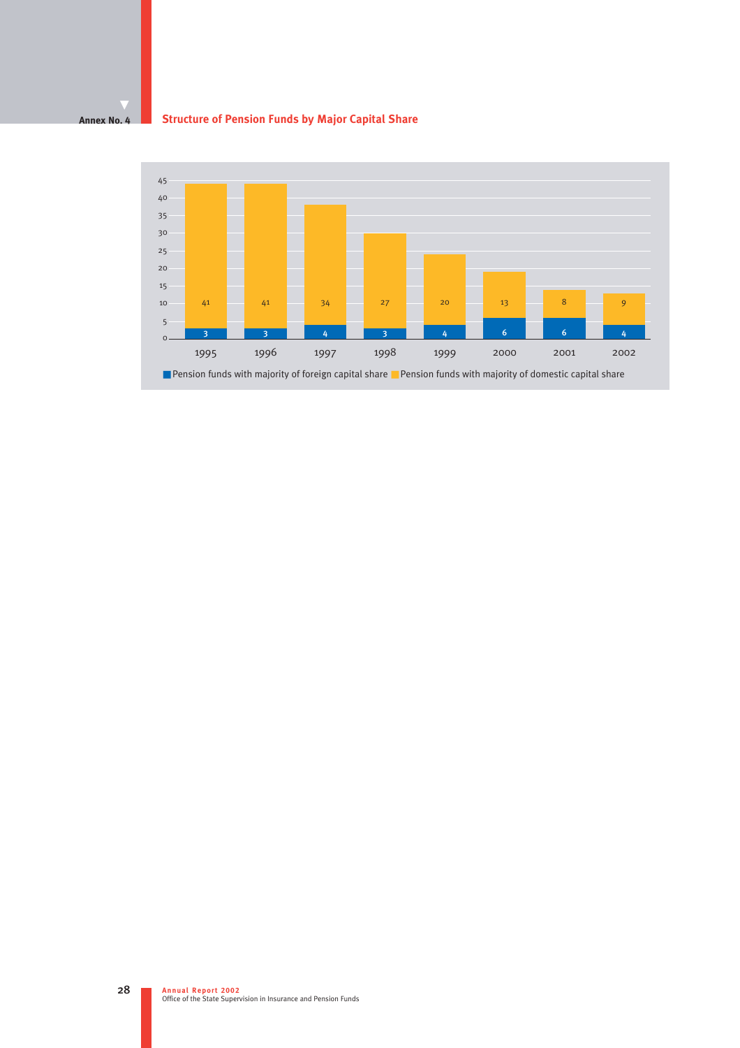#### **Annex No. 4 Structure of Pension Funds by Major Capital Share**

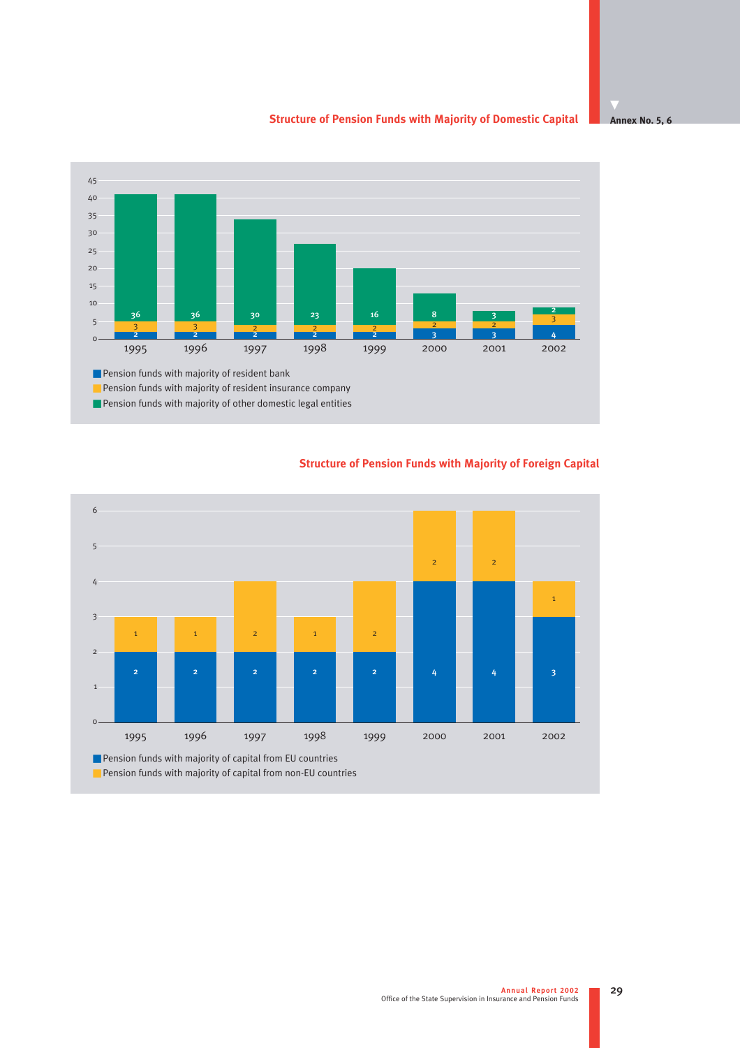#### **Annex No. 5, 6 Structure of Pension Funds with Majority of Domestic Capital**



# 1 2 3 4 5 6 ■ Pension funds with majority of capital from EU countries ■ Pension funds with majority of capital from non-EU countries  $\circ$ 1995 1996 1997 1998 1999 2000 2001 2002 1 1 2 1 2 2 2 1 22 22 22 22 4 4 4 4 3

### **Structure of Pension Funds with Majority of Foreign Capital**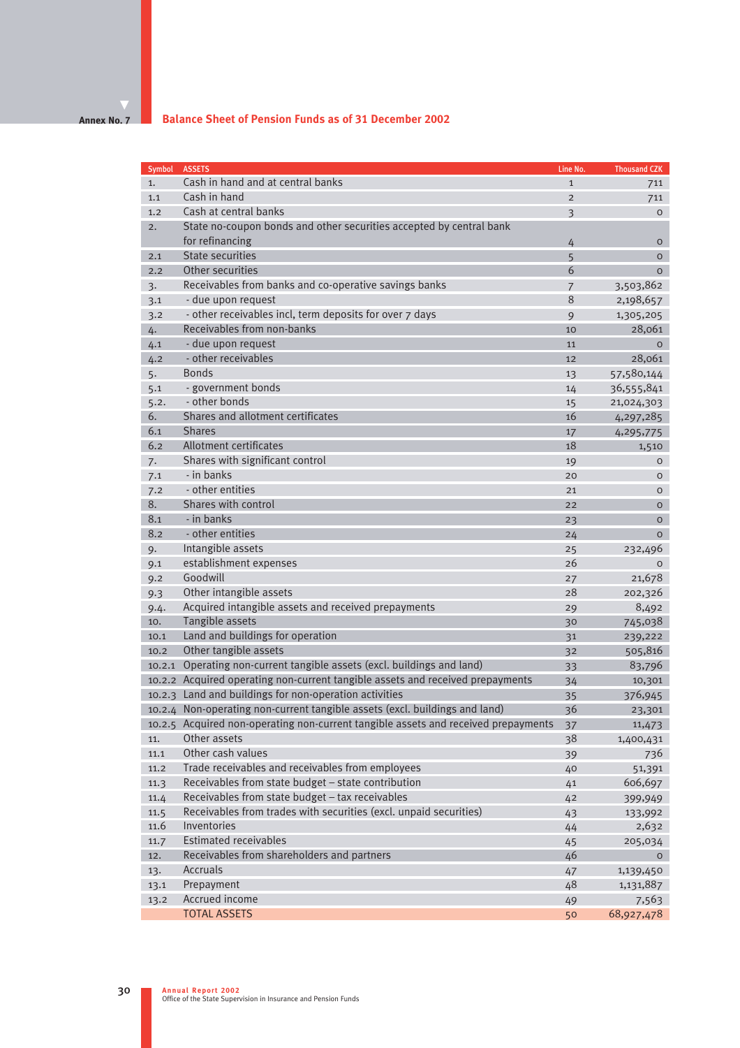#### **Annex No. 7**

ı

| <b>Symbol</b> | <b>ASSETS</b>                                                                      | Line No.       | <b>Thousand CZK</b> |
|---------------|------------------------------------------------------------------------------------|----------------|---------------------|
| 1.            | Cash in hand and at central banks                                                  | $\mathbf{1}$   | 711                 |
| 1.1           | Cash in hand                                                                       | $\overline{2}$ | 711                 |
| 1.2           | Cash at central banks                                                              | 3              | $\circ$             |
| 2.            | State no-coupon bonds and other securities accepted by central bank                |                |                     |
|               | for refinancing                                                                    | 4              | $\mathsf{O}$        |
| 2.1           | <b>State securities</b>                                                            | 5              | $\circ$             |
| 2.2           | Other securities                                                                   | 6              | $\overline{O}$      |
| 3.            | Receivables from banks and co-operative savings banks                              | $\overline{7}$ | 3,503,862           |
| 3.1           | - due upon request                                                                 | 8              | 2,198,657           |
| 3.2           | - other receivables incl, term deposits for over 7 days                            | 9              | 1,305,205           |
| 4.            | Receivables from non-banks                                                         | 10             | 28,061              |
| 4.1           | - due upon request                                                                 | 11             | $\circ$             |
| 4.2           | - other receivables                                                                | 12             | 28,061              |
| 5.            | <b>Bonds</b>                                                                       | 13             | 57,580,144          |
| 5.1           | - government bonds                                                                 | 14             | 36,555,841          |
| 5.2.          | - other bonds                                                                      | 15             | 21,024,303          |
| 6.            | Shares and allotment certificates                                                  | 16             | 4,297,285           |
| 6.1           | <b>Shares</b>                                                                      | 17             | 4,295,775           |
| 6.2           | <b>Allotment certificates</b>                                                      | 18             | 1,510               |
| 7.            | Shares with significant control                                                    | 19             | O                   |
| 7.1           | - in banks                                                                         | 20             | O                   |
| 7.2           | - other entities                                                                   | 21             | $\circ$             |
| 8.            | Shares with control                                                                | 22             | $\overline{O}$      |
| 8.1           | - in banks                                                                         | 23             | $\mathsf{O}$        |
| 8.2           | - other entities                                                                   | 24             | $\circ$             |
| 9.            | Intangible assets                                                                  | 25             | 232,496             |
| 9.1           | establishment expenses                                                             | 26             | $\mathsf{O}$        |
| 9.2           | Goodwill                                                                           | 27             | 21,678              |
| 9.3           | Other intangible assets                                                            | 28             | 202,326             |
| 9.4.          | Acquired intangible assets and received prepayments                                | 29             | 8,492               |
| 10.           | Tangible assets                                                                    | 30             | 745,038             |
| 10.1          | Land and buildings for operation                                                   | 31             | 239,222             |
| 10.2          | Other tangible assets                                                              | 32             | 505,816             |
| 10.2.1        | Operating non-current tangible assets (excl. buildings and land)                   | 33             | 83,796              |
|               | 10.2.2 Acquired operating non-current tangible assets and received prepayments     | 34             | 10,301              |
| 10.2.3        | Land and buildings for non-operation activities                                    | 35             | 376,945             |
|               | 10.2.4 Non-operating non-current tangible assets (excl. buildings and land)        | 36             | 23,301              |
|               | 10.2.5 Acquired non-operating non-current tangible assets and received prepayments | 37             | 11,473              |
| 11.           | Other assets                                                                       | 38             | 1,400,431           |
| 11.1          | Other cash values                                                                  | 39             | 736                 |
| 11.2          | Trade receivables and receivables from employees                                   | 40             | 51,391              |
| 11.3          | Receivables from state budget – state contribution                                 | 41             | 606,697             |
| 11.4          | Receivables from state budget - tax receivables                                    | 42             | 399,949             |
| 11.5          | Receivables from trades with securities (excl. unpaid securities)                  | 43             | 133,992             |
| 11.6          | Inventories                                                                        | 44             | 2,632               |
| 11.7          | <b>Estimated receivables</b>                                                       | 45             | 205,034             |
| 12.           | Receivables from shareholders and partners                                         | 46             | $\circ$             |
| 13.           | Accruals                                                                           | 47             | 1,139,450           |
| 13.1          | Prepayment                                                                         | 48             | 1,131,887           |
| 13.2          | Accrued income                                                                     | 49             | 7,563               |
|               | <b>TOTAL ASSETS</b>                                                                | 50             | 68,927,478          |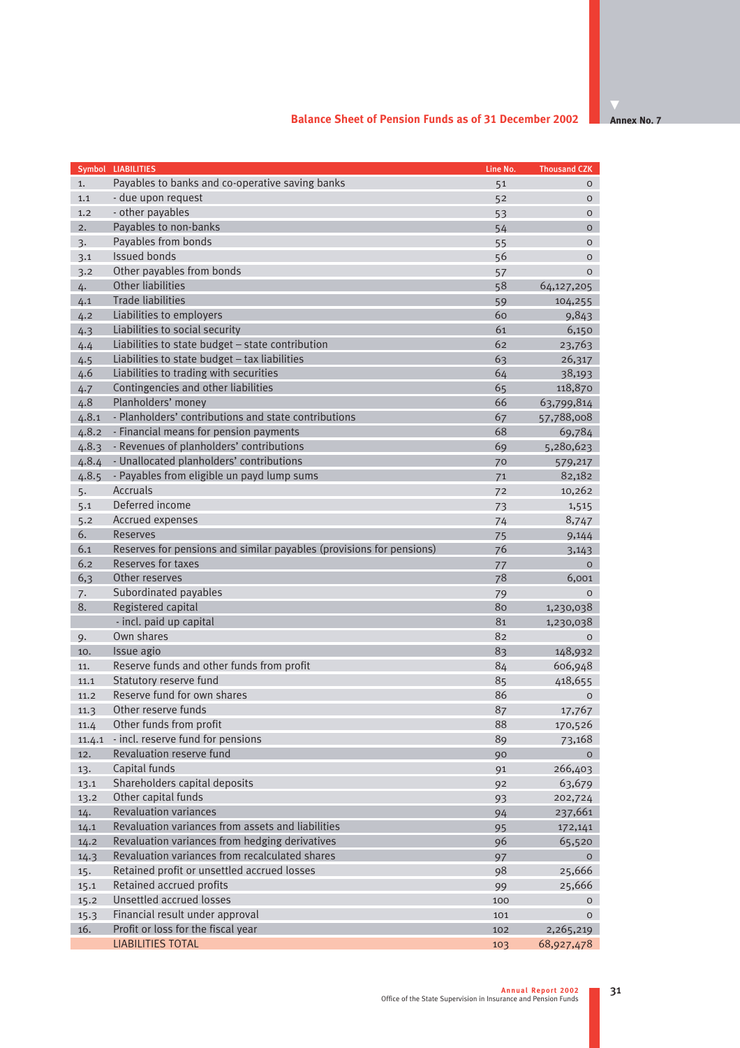|        | Symbol LIABILITIES                                                   | Line No. | <b>Thousand CZK</b> |
|--------|----------------------------------------------------------------------|----------|---------------------|
| 1.     | Payables to banks and co-operative saving banks                      | 51       | $\circ$             |
| 1.1    | - due upon request                                                   | 52       | $\mathsf{O}$        |
| 1.2    | - other payables                                                     | 53       | $\circ$             |
| 2.     | Payables to non-banks                                                | 54       | $\circ$             |
| 3.     | Payables from bonds                                                  | 55       | $\circ$             |
| 3.1    | <b>Issued bonds</b>                                                  | 56       | $\circ$             |
| 3.2    | Other payables from bonds                                            | 57       | $\circ$             |
| 4.     | Other liabilities                                                    | 58       | 64,127,205          |
| 4.1    | <b>Trade liabilities</b>                                             | 59       | 104,255             |
| 4.2    | Liabilities to employers                                             | 60       | 9,843               |
| 4.3    | Liabilities to social security                                       | 61       | 6,150               |
| 4.4    | Liabilities to state budget - state contribution                     | 62       | 23,763              |
| 4.5    | Liabilities to state budget - tax liabilities                        | 63       | 26,317              |
| 4.6    | Liabilities to trading with securities                               | 64       | 38,193              |
| 4.7    | Contingencies and other liabilities                                  | 65       | 118,870             |
| 4.8    | Planholders' money                                                   | 66       | 63,799,814          |
| 4.8.1  | - Planholders' contributions and state contributions                 | 67       | 57,788,008          |
| 4.8.2  | - Financial means for pension payments                               | 68       | 69,784              |
| 4.8.3  | - Revenues of planholders' contributions                             | 69       | 5,280,623           |
| 4.8.4  | - Unallocated planholders' contributions                             | 70       | 579,217             |
| 4.8.5  | - Payables from eligible un payd lump sums                           | 71       | 82,182              |
| 5.     | <b>Accruals</b>                                                      | 72       | 10,262              |
| 5.1    | Deferred income                                                      | 73       | 1,515               |
| 5.2    | Accrued expenses                                                     | 74       | 8,747               |
| 6.     | Reserves                                                             | 75       | 9,144               |
| 6.1    | Reserves for pensions and similar payables (provisions for pensions) | 76       | 3,143               |
| 6.2    | <b>Reserves for taxes</b>                                            | 77       | $\mathbf{O}$        |
| 6,3    | Other reserves                                                       | 78       | 6,001               |
| 7.     | Subordinated payables                                                | 79       | $\circ$             |
| 8.     | Registered capital                                                   | 80       | 1,230,038           |
|        | - incl. paid up capital                                              | 81       | 1,230,038           |
| 9.     | Own shares                                                           | 82       | $\mathbf{O}$        |
| 10.    | Issue agio                                                           | 83       | 148,932             |
| 11.    | Reserve funds and other funds from profit                            | 84       | 606,948             |
| 11.1   | Statutory reserve fund                                               | 85       | 418,655             |
| 11.2   | Reserve fund for own shares                                          | 86       | $\circ$             |
| 11.3   | Other reserve funds                                                  | 87       | 17,767              |
| 11.4   | Other funds from profit                                              | 88       | 170,526             |
| 11.4.1 | - incl. reserve fund for pensions                                    | 89       | 73,168              |
| 12.    | Revaluation reserve fund                                             | 90       | $\mathbf{O}$        |
| 13.    | Capital funds                                                        | 91       | 266,403             |
| 13.1   | Shareholders capital deposits                                        | 92       | 63,679              |
| 13.2   | Other capital funds                                                  | 93       | 202,724             |
| 14.    | <b>Revaluation variances</b>                                         | 94       | 237,661             |
| 14.1   | Revaluation variances from assets and liabilities                    | 95       | 172,141             |
| 14.2   | Revaluation variances from hedging derivatives                       | 96       | 65,520              |
| 14.3   | Revaluation variances from recalculated shares                       | 97       | $\mathsf{O}$        |
| 15.    | Retained profit or unsettled accrued losses                          | 98       | 25,666              |
| 15.1   | Retained accrued profits                                             | 99       | 25,666              |
| 15.2   | Unsettled accrued losses                                             | 100      | $\mathbf{O}$        |
| 15.3   | Financial result under approval                                      | 101      | $\mathbf{O}$        |
| 16.    | Profit or loss for the fiscal year                                   | 102      | 2,265,219           |
|        | <b>LIABILITIES TOTAL</b>                                             | 103      | 68,927,478          |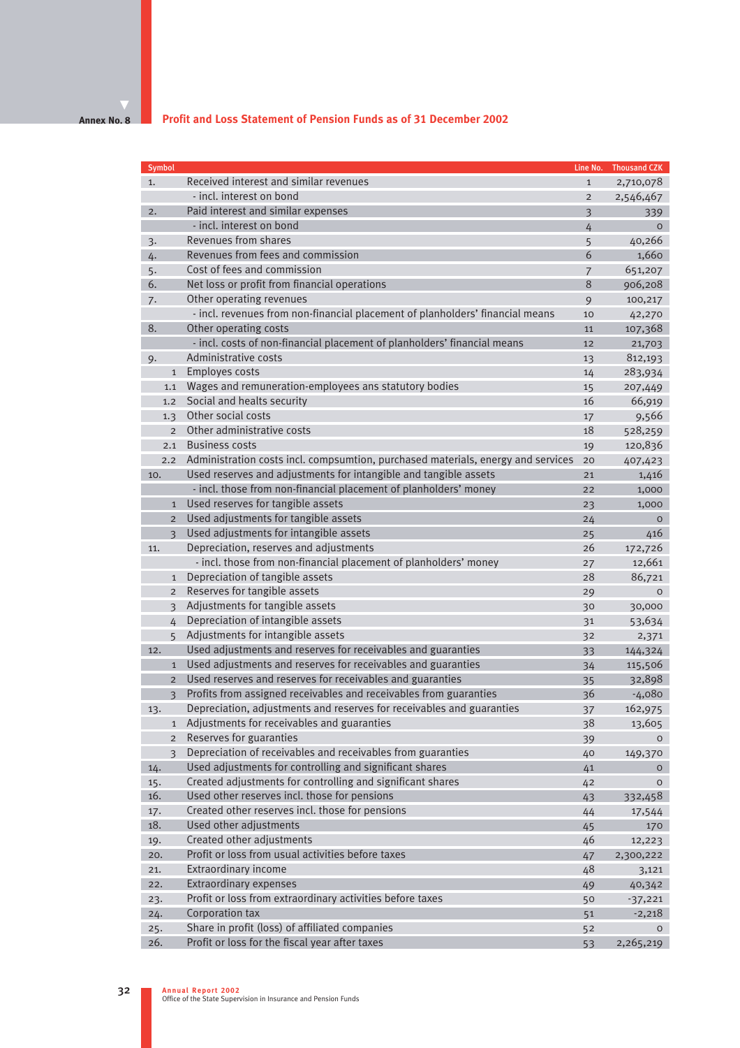#### **Annex No. 8**

# **Profit and Loss Statement of Pension Funds as of 31 December 2002**

| Symbol |                          |                                                                                  | Line No.                | <b>Thousand CZK</b> |
|--------|--------------------------|----------------------------------------------------------------------------------|-------------------------|---------------------|
| 1.     |                          | Received interest and similar revenues                                           | $\mathbf{1}$            | 2,710,078           |
|        |                          | - incl. interest on bond                                                         | $\overline{2}$          | 2,546,467           |
| 2.     |                          | Paid interest and similar expenses                                               | $\overline{\mathbf{3}}$ | 339                 |
|        |                          | - incl. interest on bond                                                         | $\overline{4}$          | $\circ$             |
| 3.     |                          | Revenues from shares                                                             | 5                       | 40,266              |
| 4.     |                          | Revenues from fees and commission                                                | 6                       | 1,660               |
| 5.     |                          | Cost of fees and commission                                                      | $\overline{7}$          | 651,207             |
| 6.     |                          | Net loss or profit from financial operations                                     | 8                       | 906,208             |
| 7.     |                          | Other operating revenues                                                         | 9                       | 100,217             |
|        |                          | - incl. revenues from non-financial placement of planholders' financial means    | 10                      | 42,270              |
| 8.     |                          | Other operating costs                                                            | 11                      | 107,368             |
|        |                          | - incl. costs of non-financial placement of planholders' financial means         | 12                      | 21,703              |
| 9.     |                          | Administrative costs                                                             | 13                      | 812,193             |
|        | $\mathbf{1}$             | Employes costs                                                                   | 14                      | 283,934             |
|        | 1.1                      | Wages and remuneration-employees ans statutory bodies                            | 15                      | 207,449             |
|        | 1.2                      | Social and healts security                                                       | 16                      | 66,919              |
|        | 1.3                      | Other social costs                                                               | 17                      | 9,566               |
|        | $\overline{2}$           | Other administrative costs                                                       | 18                      | 528,259             |
|        | 2.1                      | <b>Business costs</b>                                                            | 19                      | 120,836             |
|        | 2.2                      | Administration costs incl. compsumtion, purchased materials, energy and services | 20                      | 407,423             |
| 10.    |                          | Used reserves and adjustments for intangible and tangible assets                 | 21                      | 1,416               |
|        |                          | - incl. those from non-financial placement of planholders' money                 | 22                      | 1,000               |
|        | $\mathbf{1}$             | Used reserves for tangible assets                                                | 23                      | 1,000               |
|        | $\overline{2}$           | Used adjustments for tangible assets                                             | 24                      | $\circ$             |
|        | $\overline{3}$           | Used adjustments for intangible assets                                           | 25                      | 416                 |
| 11.    |                          | Depreciation, reserves and adjustments                                           | 26                      | 172,726             |
|        |                          | - incl. those from non-financial placement of planholders' money                 | 27                      | 12,661              |
|        | $\mathbf{1}$             | Depreciation of tangible assets                                                  | 28                      | 86,721              |
|        | $\overline{2}$           | Reserves for tangible assets                                                     | 29                      | $\circ$             |
|        | 3                        | Adjustments for tangible assets                                                  | 30                      | 30,000              |
|        | 4                        | Depreciation of intangible assets                                                | 31                      | 53,634              |
|        | 5                        | Adjustments for intangible assets                                                | 32                      | 2,371               |
| 12.    |                          | Used adjustments and reserves for receivables and guaranties                     | 33                      | 144,324             |
|        | $\mathbf{1}$             | Used adjustments and reserves for receivables and guaranties                     | 34                      | 115,506             |
|        | $\overline{2}$           | Used reserves and reserves for receivables and guaranties                        | 35                      | 32,898              |
|        | $\overline{\mathbf{3}}$  | Profits from assigned receivables and receivables from guaranties                | 36                      | $-4,080$            |
| 13.    |                          | Depreciation, adjustments and reserves for receivables and guaranties            | 37                      | 162,975             |
|        | $\mathbf{1}$             | Adjustments for receivables and guaranties                                       | 38                      | 13,605              |
|        | $\overline{2}$           | Reserves for guaranties                                                          | 39                      | $\circ$             |
|        | $\overline{\mathcal{E}}$ | Depreciation of receivables and receivables from guaranties                      | 40                      | 149,370             |
| 14.    |                          | Used adjustments for controlling and significant shares                          | 41                      | 0                   |
| 15.    |                          | Created adjustments for controlling and significant shares                       | 42                      | $\mathsf{O}$        |
| 16.    |                          | Used other reserves incl. those for pensions                                     | 43                      | 332,458             |
| 17.    |                          | Created other reserves incl. those for pensions                                  | 44                      | 17,544              |
| 18.    |                          | Used other adjustments                                                           | 45                      | 170                 |
| 19.    |                          | Created other adjustments                                                        | 46                      | 12,223              |
| 20.    |                          | Profit or loss from usual activities before taxes                                | 47                      | 2,300,222           |
| 21.    |                          | Extraordinary income                                                             | 48                      | 3,121               |
| 22.    |                          | Extraordinary expenses                                                           | 49                      | 40,342              |
| 23.    |                          | Profit or loss from extraordinary activities before taxes                        | 50                      | $-37,221$           |
| 24.    |                          | Corporation tax                                                                  | 51                      | $-2,218$            |
| 25.    |                          | Share in profit (loss) of affiliated companies                                   | 52                      | $\circ$             |
| 26.    |                          | Profit or loss for the fiscal year after taxes                                   | 53                      | 2,265,219           |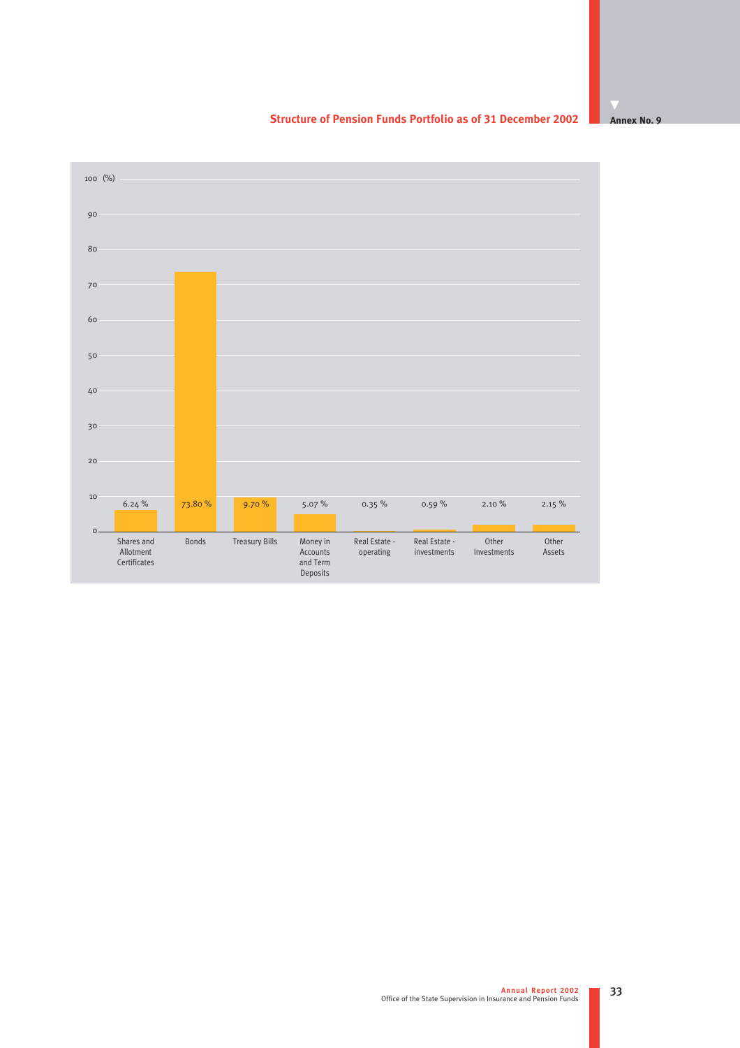

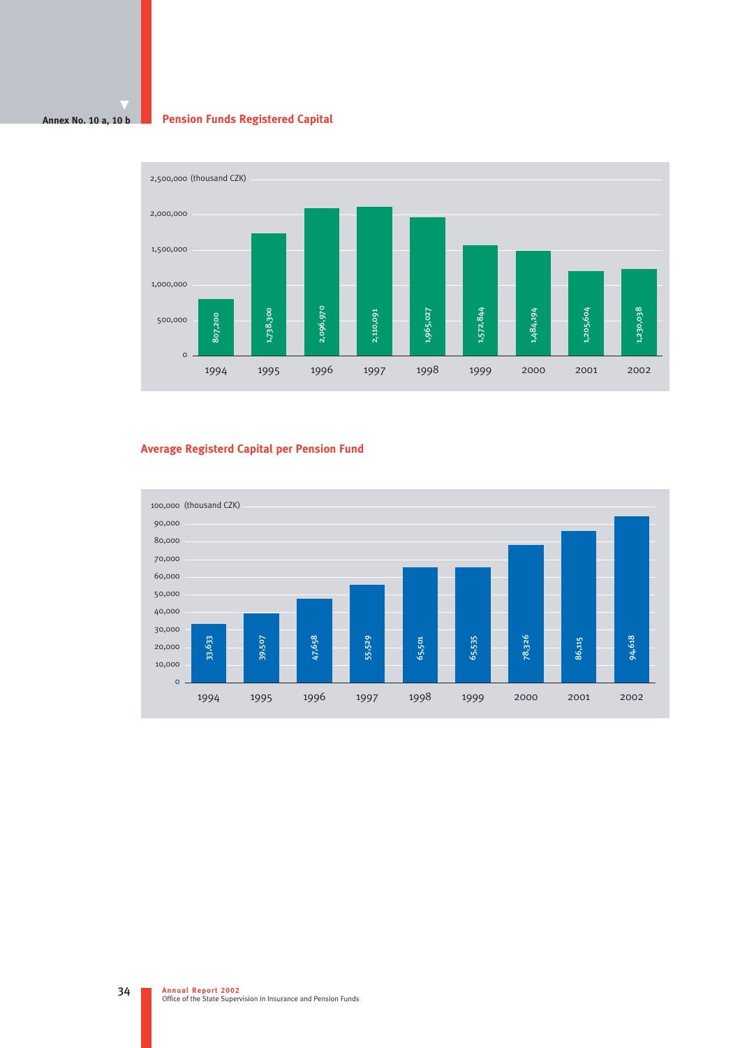#### **Annex No. 10 a, 10 b Pension Funds Registered Capital**



# **Average Registerd Capital per Pension Fund**

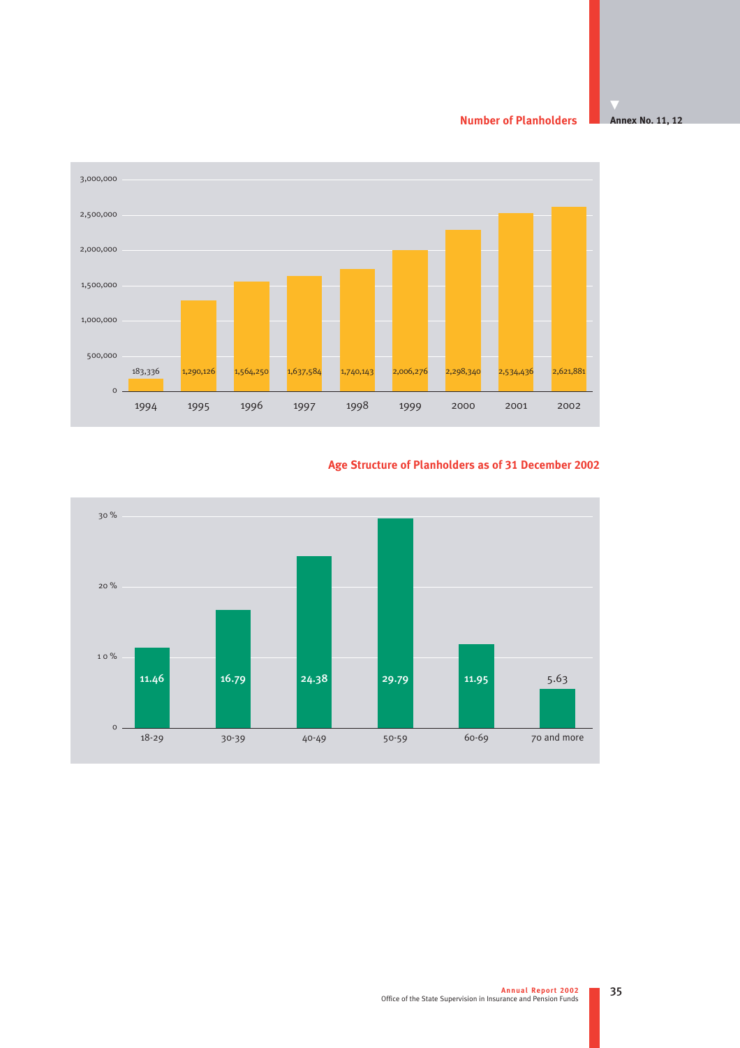**Number of Planholders**

**Annex No. 11, 12**



# **Age Structure of Planholders as of 31 December 2002**

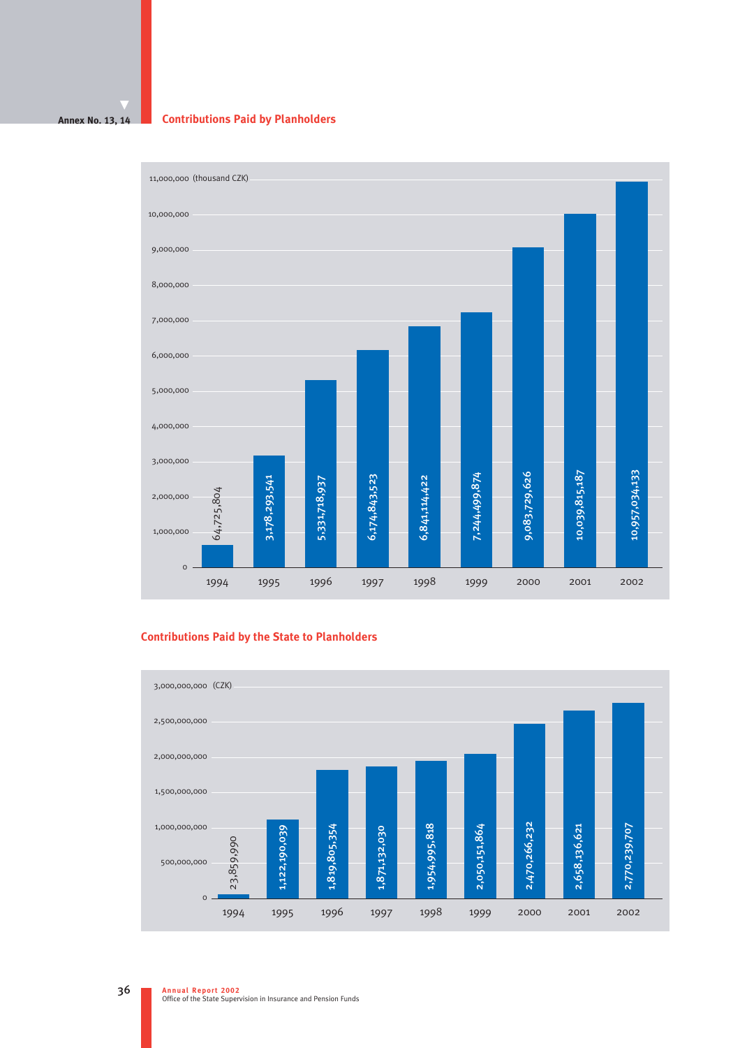#### **Annex No. 13, 14**

### **Contributions Paid by Planholders**



# **Contributions Paid by the State to Planholders**

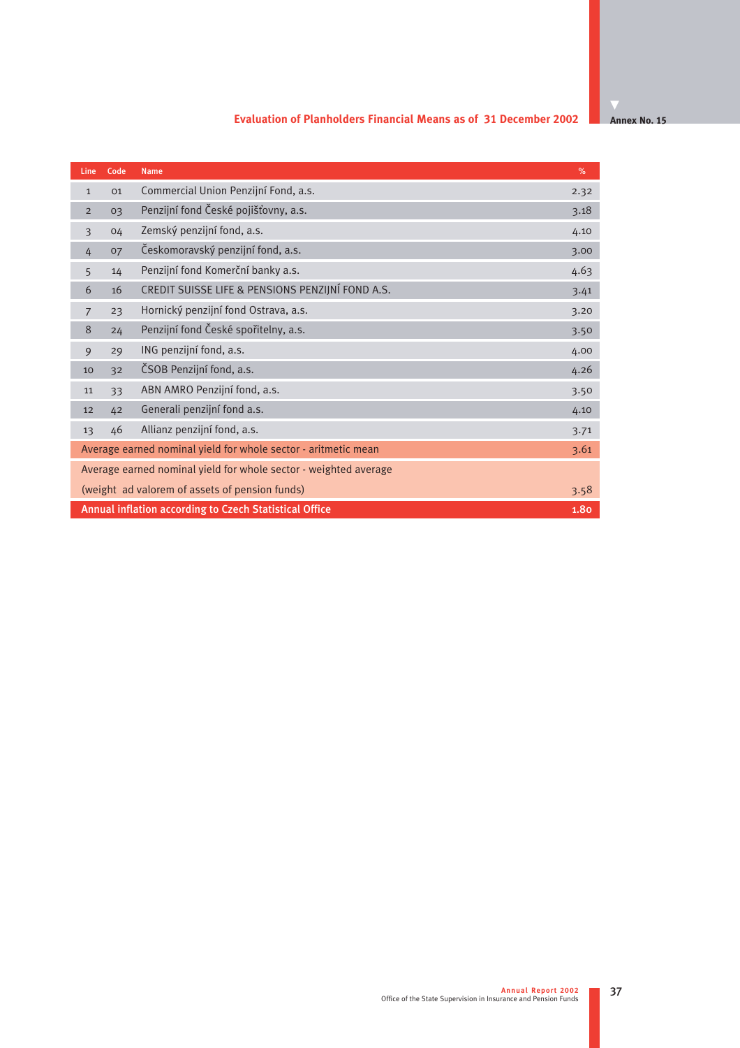# **Evaluation of Planholders Financial Means as of 31 December 2002**

**Annex No. 15** 

| Line           | Code                                                             | <b>Name</b>                                                    | $\%$ |  |
|----------------|------------------------------------------------------------------|----------------------------------------------------------------|------|--|
| $\mathbf{1}$   | 01                                                               | Commercial Union Penzijní Fond, a.s.                           | 2.32 |  |
| $\overline{2}$ | 03                                                               | Penzijní fond České pojišťovny, a.s.                           | 3.18 |  |
| $\overline{3}$ | 04                                                               | Zemský penzijní fond, a.s.                                     | 4.10 |  |
| 4              | 07                                                               | Českomoravský penzijní fond, a.s.                              | 3.00 |  |
| 5              | 14                                                               | Penzijní fond Komerční banky a.s.                              | 4.63 |  |
| 6              | 16                                                               | CREDIT SUISSE LIFE & PENSIONS PENZIJNÍ FOND A.S.               | 3.41 |  |
| 7              | 23                                                               | Hornický penzijní fond Ostrava, a.s.                           | 3.20 |  |
| 8              | 24                                                               | Penzijní fond České spořitelny, a.s.                           | 3.50 |  |
| 9              | 29                                                               | ING penzijní fond, a.s.                                        | 4.00 |  |
| 10             | 32                                                               | ČSOB Penzijní fond, a.s.                                       | 4.26 |  |
| 11             | 33                                                               | ABN AMRO Penzijní fond, a.s.                                   | 3.50 |  |
| 12             | 42                                                               | Generali penzijní fond a.s.                                    | 4.10 |  |
| 13             | 46                                                               | Allianz penzijní fond, a.s.                                    | 3.71 |  |
|                |                                                                  | Average earned nominal yield for whole sector - aritmetic mean | 3.61 |  |
|                | Average earned nominal yield for whole sector - weighted average |                                                                |      |  |
|                | (weight ad valorem of assets of pension funds)<br>3.58           |                                                                |      |  |
|                |                                                                  | Annual inflation according to Czech Statistical Office         | 1.80 |  |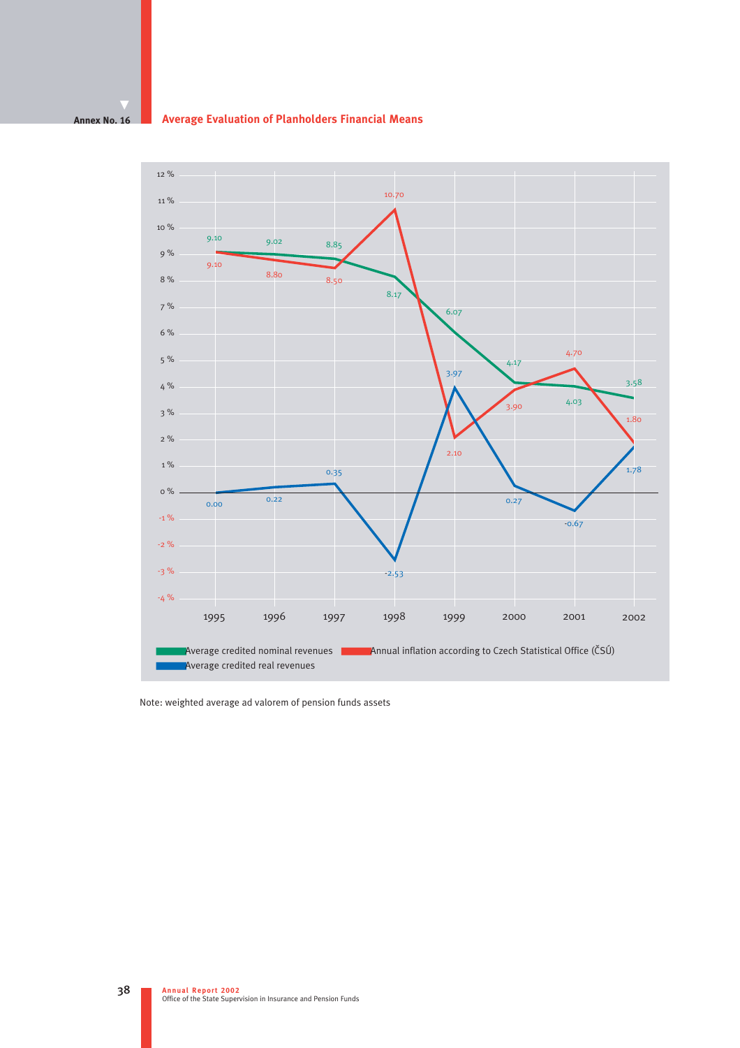#### **Annex No. 16 Average Evaluation of Planholders Financial Means**



Note: weighted average ad valorem of pension funds assets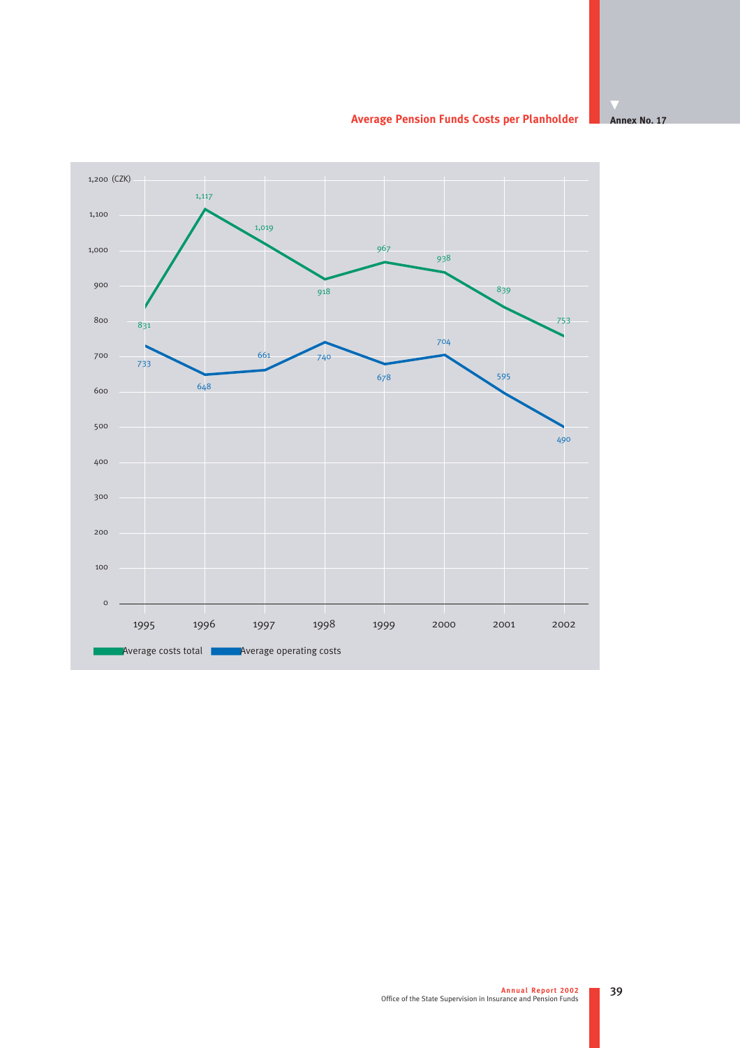**Average Pension Funds Costs per Planholder**

# 1995 1996 1997 1998 1999 2000 2001 2002 ■Average costs total ■Average operating costs 1,000 1,100 1,200 (CZK) 1,117 1,019 740  $\frac{1}{831}$  and  $\frac{1}{831}$  and  $\frac{1}{831}$  and  $\frac{1}{831}$  and  $\frac{1}{831}$  and  $\frac{1}{831}$  and  $\frac{1}{831}$  and  $\frac{1}{831}$  and  $\frac{1}{831}$  and  $\frac{1}{831}$  and  $\frac{1}{831}$  and  $\frac{1}{831}$  and  $\frac{1}{831}$  and  $\frac{1}{831}$  a

**Annex No. 17**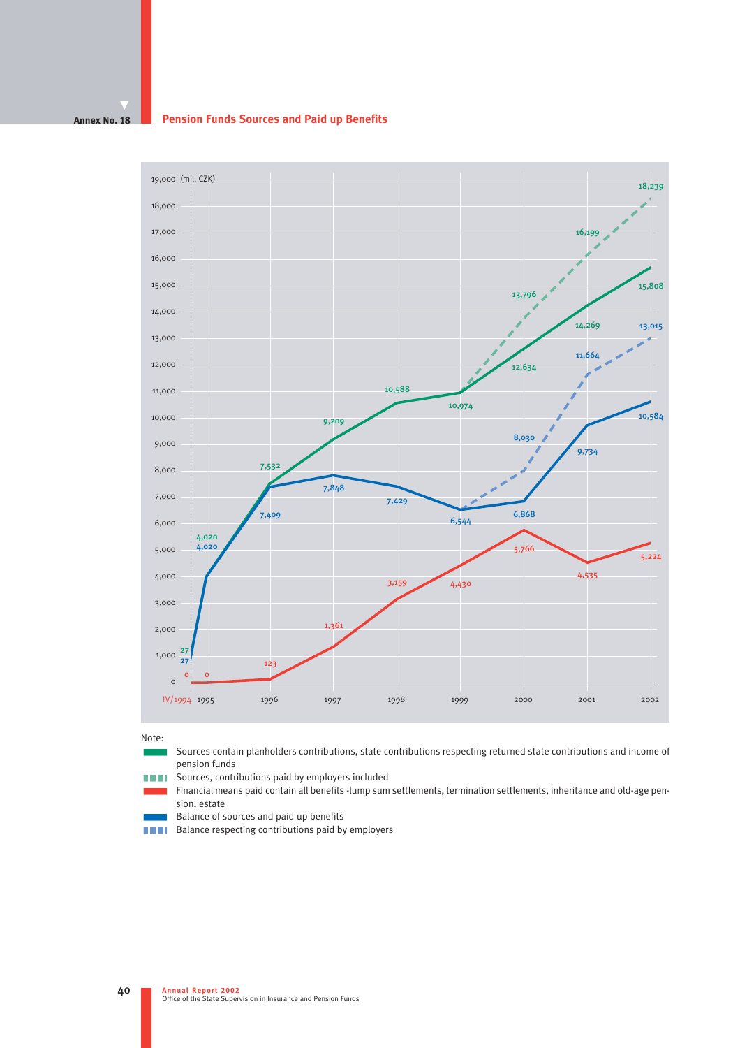#### **Annex No. 18 Pension Funds Sources and Paid up Benefits**



Note:

- Sources contain planholders contributions, state contributions respecting returned state contributions and income of pension funds
- **THE Sources, contributions paid by employers included**
- Financial means paid contain all benefits -lump sum settlements, termination settlements, inheritance and old-age pension, estate
- $\blacksquare$  Balance of sources and paid up benefits  $\blacksquare$  Ralance respecting contributions paid by
- Balance respecting contributions paid by employers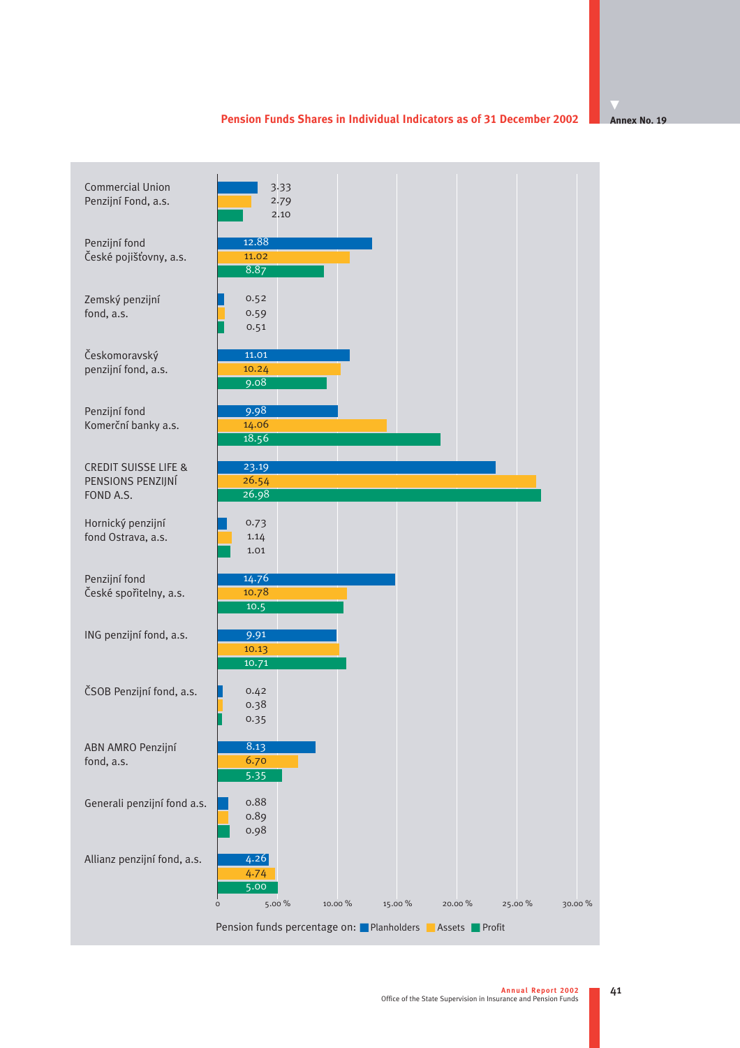#### **Pension Funds Shares in Individual Indicators as of 31 December 2002**

**Annex No. 19**

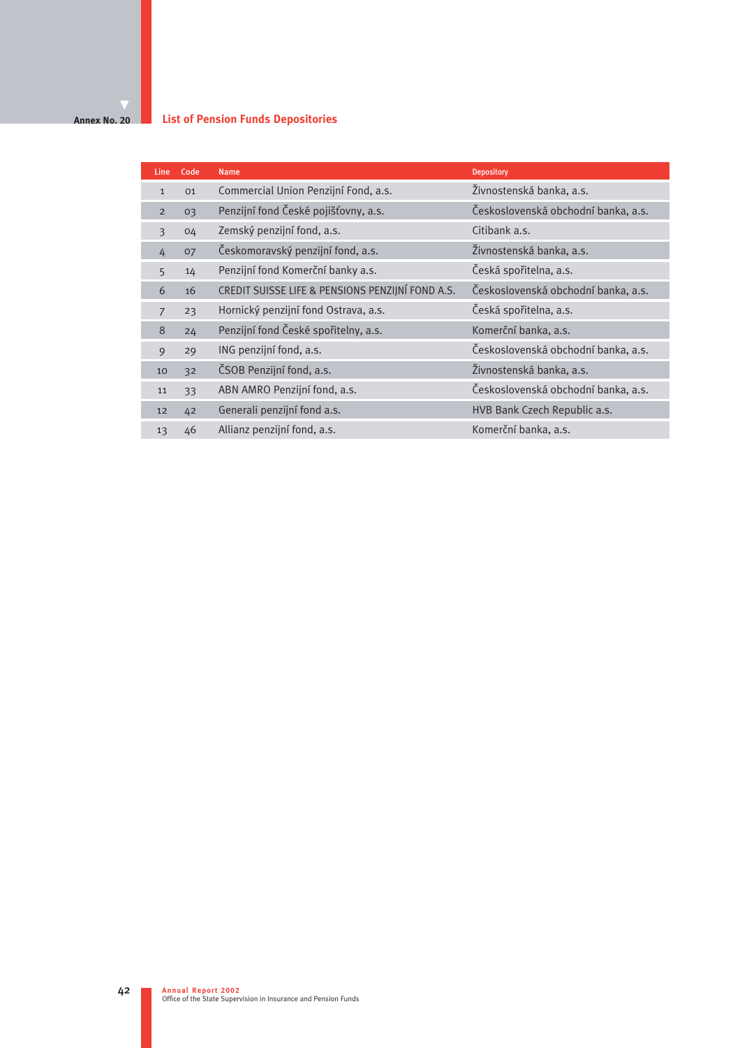#### **Annex No. 20 List of Pension Funds Depositories**

| Line           | Code           | <b>Name</b>                                      | <b>Depository</b>                   |
|----------------|----------------|--------------------------------------------------|-------------------------------------|
| $\mathbf{1}$   | O <sub>1</sub> | Commercial Union Penzijní Fond, a.s.             | Živnostenská banka, a.s.            |
| $\overline{2}$ | 03             | Penzijní fond České pojišťovny, a.s.             | Československá obchodní banka, a.s. |
| 3              | 04             | Zemský penzijní fond, a.s.                       | Citibank a.s.                       |
| 4              | 07             | Českomoravský penzijní fond, a.s.                | Živnostenská banka, a.s.            |
| 5              | 14             | Penzijní fond Komerční banky a.s.                | Česká spořitelna, a.s.              |
| 6              | 16             | CREDIT SUISSE LIFE & PENSIONS PENZIJNÍ FOND A.S. | Československá obchodní banka, a.s. |
| $\overline{7}$ | 23             | Hornický penzijní fond Ostrava, a.s.             | Česká spořitelna, a.s.              |
| 8              | 24             | Penzijní fond České spořitelny, a.s.             | Komerční banka, a.s.                |
| 9              | 29             | ING penzijní fond, a.s.                          | Československá obchodní banka, a.s. |
| 10             | 32             | ČSOB Penzijní fond, a.s.                         | Živnostenská banka, a.s.            |
| 11             | 33             | ABN AMRO Penzijní fond, a.s.                     | Československá obchodní banka, a.s. |
| 12             | 42             | Generali penzijní fond a.s.                      | HVB Bank Czech Republic a.s.        |
| 13             | 46             | Allianz penzijní fond, a.s.                      | Komerční banka, a.s.                |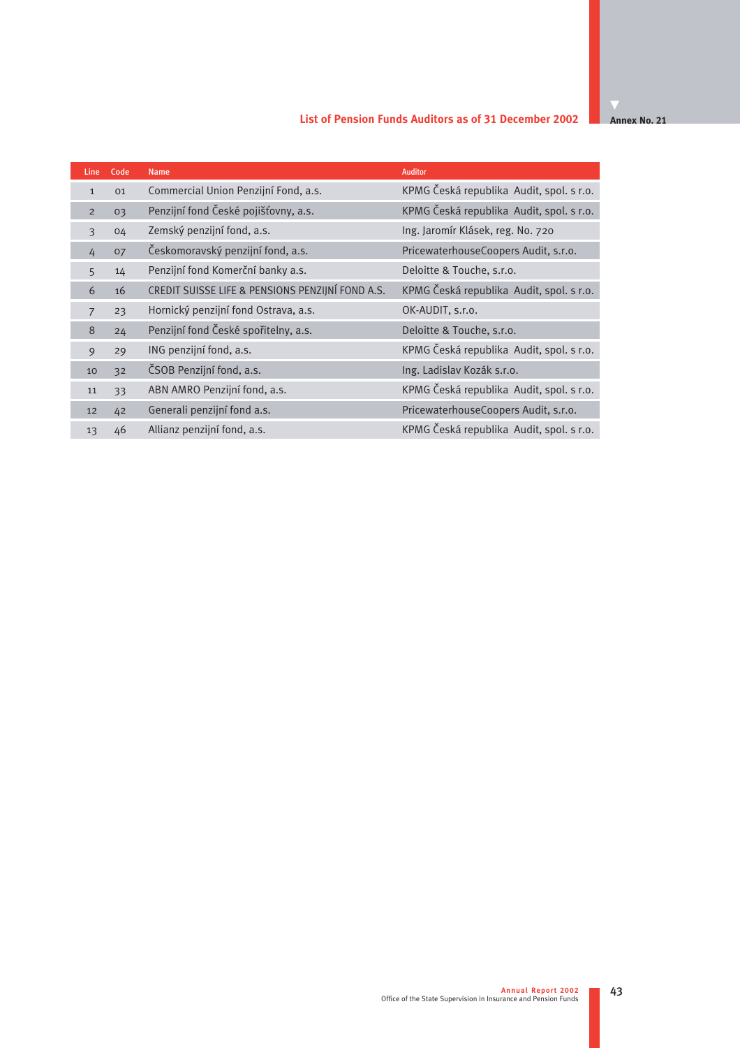### **List of Pension Funds Auditors as of 31 December 2002**

**Annex No. 21** 

| <b>Line</b>     | Code | <b>Name</b>                                      | <b>Auditor</b>                           |
|-----------------|------|--------------------------------------------------|------------------------------------------|
| $\mathbf{1}$    | 01   | Commercial Union Penzijní Fond, a.s.             | KPMG Česká republika Audit, spol. s r.o. |
| $\overline{2}$  | 03   | Penzijní fond České pojišťovny, a.s.             | KPMG Česká republika Audit, spol. s r.o. |
| 3               | 04   | Zemský penzijní fond, a.s.                       | Ing. Jaromír Klásek, reg. No. 720        |
| 4               | 07   | Českomoravský penzijní fond, a.s.                | PricewaterhouseCoopers Audit, s.r.o.     |
| $5\overline{)}$ | 14   | Penzijní fond Komerční banky a.s.                | Deloitte & Touche, s.r.o.                |
| 6               | 16   | CREDIT SUISSE LIFE & PENSIONS PENZIJNÍ FOND A.S. | KPMG Česká republika Audit, spol. s r.o. |
| $\overline{7}$  | 23   | Hornický penzijní fond Ostrava, a.s.             | OK-AUDIT, s.r.o.                         |
| 8               | 24   | Penzijní fond České spořitelny, a.s.             | Deloitte & Touche, s.r.o.                |
| 9               | 29   | ING penzijní fond, a.s.                          | KPMG Česká republika Audit, spol. s r.o. |
| 10              | 32   | ČSOB Penzijní fond, a.s.                         | Ing. Ladislav Kozák s.r.o.               |
| 11              | 33   | ABN AMRO Penzijní fond, a.s.                     | KPMG Česká republika Audit, spol. s r.o. |
| 12              | 42   | Generali penzijní fond a.s.                      | PricewaterhouseCoopers Audit, s.r.o.     |
| 13              | 46   | Allianz penzijní fond, a.s.                      | KPMG Česká republika Audit, spol. s r.o. |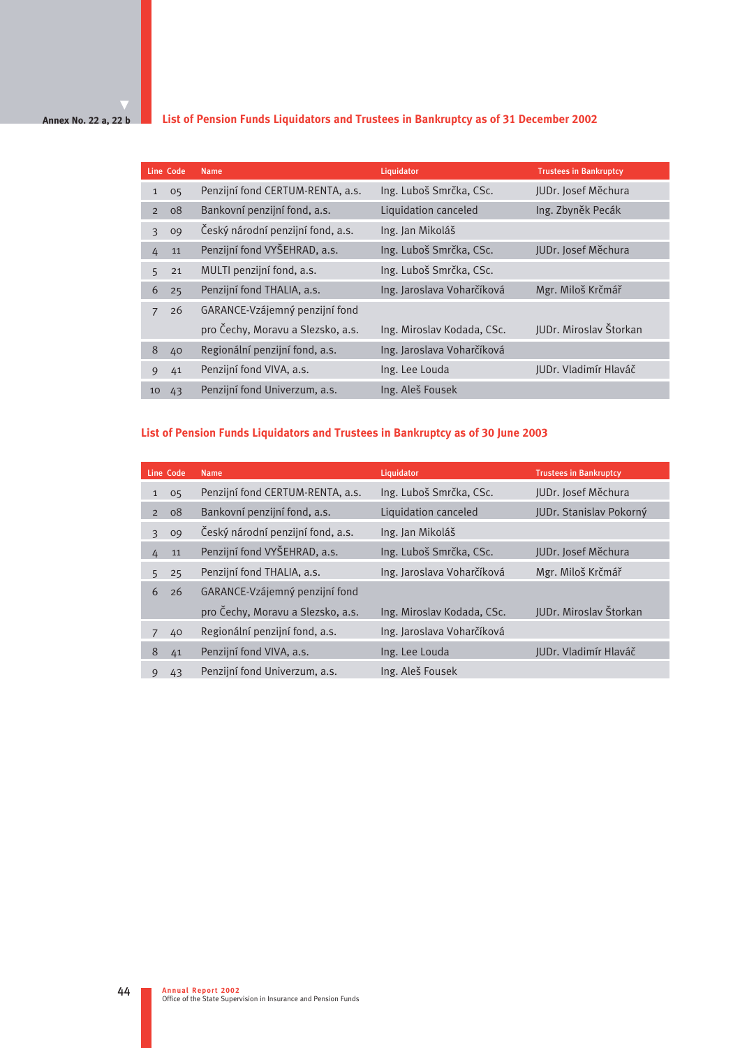### **Annex No. 22 a, 22 b**

# **List of Pension Funds Liquidators and Trustees in Bankruptcy as of 31 December 2002**

|              | Line Code | <b>Name</b>                       | Liquidator                 | <b>Trustees in Bankruptcy</b> |
|--------------|-----------|-----------------------------------|----------------------------|-------------------------------|
| $\mathbf{1}$ | 05        | Penzijní fond CERTUM-RENTA, a.s.  | Ing. Luboš Smrčka, CSc.    | JUDr. Josef Měchura           |
| 2            | 08        | Bankovní penzijní fond, a.s.      | Liquidation canceled       | Ing. Zbyněk Pecák             |
| 3            | 09        | Český národní penzijní fond, a.s. | Ing. Jan Mikoláš           |                               |
| 4            | 11        | Penzijní fond VYŠEHRAD, a.s.      | Ing. Luboš Smrčka, CSc.    | JUDr. Josef Měchura           |
| 5            | 21        | MULTI penzijní fond, a.s.         | Ing. Luboš Smrčka, CSc.    |                               |
| 6            | 25        | Penzijní fond THALIA, a.s.        | Ing. Jaroslava Voharčíková | Mgr. Miloš Krčmář             |
| 7            | 26        | GARANCE-Vzájemný penzijní fond    |                            |                               |
|              |           | pro Čechy, Moravu a Slezsko, a.s. | Ing. Miroslav Kodada, CSc. | JUDr. Miroslav Štorkan        |
| 8            | 40        | Regionální penzijní fond, a.s.    | Ing. Jaroslava Voharčíková |                               |
| 9            | 41        | Penzijní fond VIVA, a.s.          | Ing. Lee Louda             | JUDr. Vladimír Hlaváč         |
| 10           | 43        | Penzijní fond Univerzum, a.s.     | Ing. Aleš Fousek           |                               |

# **List of Pension Funds Liquidators and Trustees in Bankruptcy as of 30 June 2003**

|                | Line Code | <b>Name</b>                       | Liquidator                 | <b>Trustees in Bankruptcy</b> |
|----------------|-----------|-----------------------------------|----------------------------|-------------------------------|
| $\mathbf{1}$   | 05        | Penzijní fond CERTUM-RENTA, a.s.  | Ing. Luboš Smrčka, CSc.    | JUDr. Josef Měchura           |
| $\overline{2}$ | 08        | Bankovní penzijní fond, a.s.      | Liquidation canceled       | JUDr. Stanislav Pokorný       |
| 3              | 09        | Český národní penzijní fond, a.s. | Ing. Jan Mikoláš           |                               |
| 4              | 11        | Penzijní fond VYŠEHRAD, a.s.      | Ing. Luboš Smrčka, CSc.    | JUDr. Josef Měchura           |
| 5.             | 25        | Penzijní fond THALIA, a.s.        | Ing. Jaroslava Voharčíková | Mgr. Miloš Krčmář             |
| 6              | 26        | GARANCE-Vzájemný penzijní fond    |                            |                               |
|                |           | pro Čechy, Moravu a Slezsko, a.s. | Ing. Miroslav Kodada, CSc. | <b>IUDr. Miroslav Štorkan</b> |
|                | 40        | Regionální penzijní fond, a.s.    | Ing. Jaroslava Voharčíková |                               |
| 8              | 41        | Penzijní fond VIVA, a.s.          | Ing. Lee Louda             | JUDr. Vladimír Hlaváč         |
| 9              | 43        | Penzijní fond Univerzum, a.s.     | Ing. Aleš Fousek           |                               |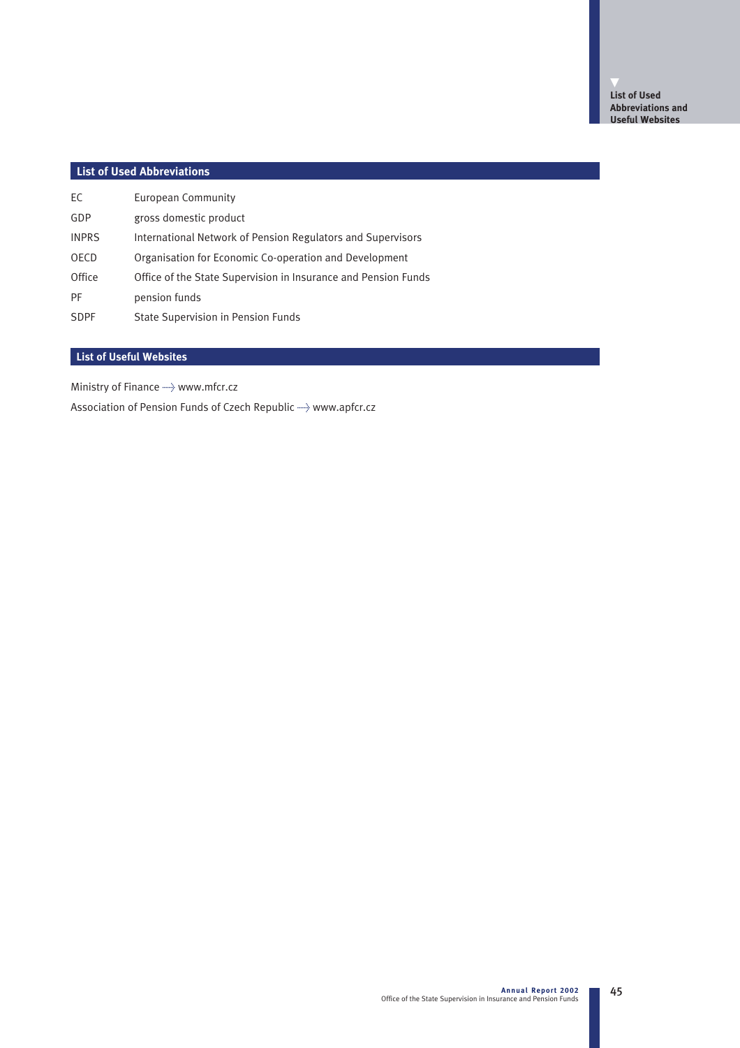# **List of Used Abbreviations**

| EC           | European Community                                             |
|--------------|----------------------------------------------------------------|
| GDP          | gross domestic product                                         |
| <b>INPRS</b> | International Network of Pension Regulators and Supervisors    |
| <b>OECD</b>  | Organisation for Economic Co-operation and Development         |
| Office       | Office of the State Supervision in Insurance and Pension Funds |
| <b>PF</b>    | pension funds                                                  |
| <b>SDPF</b>  | State Supervision in Pension Funds                             |

# **List of Useful Websites**

Ministry of Finance  $\rightarrow$  www.mfcr.cz

Association of Pension Funds of Czech Republic  $\rightarrow$  www.apfcr.cz